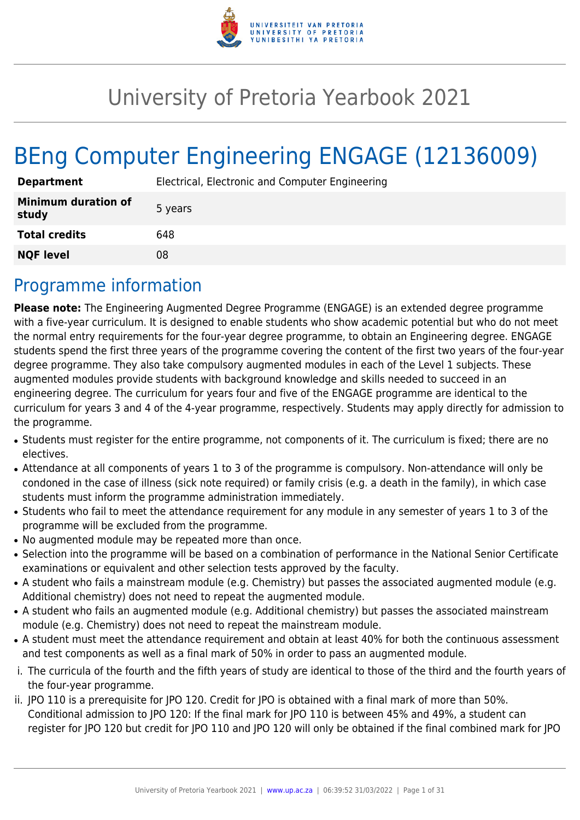

# University of Pretoria Yearbook 2021

# BEng Computer Engineering ENGAGE (12136009)

| <b>Department</b>                   | Electrical, Electronic and Computer Engineering |
|-------------------------------------|-------------------------------------------------|
| <b>Minimum duration of</b><br>study | 5 years                                         |
| <b>Total credits</b>                | 648                                             |
| <b>NQF level</b>                    | 08                                              |

## Programme information

**Please note:** The Engineering Augmented Degree Programme (ENGAGE) is an extended degree programme with a five-year curriculum. It is designed to enable students who show academic potential but who do not meet the normal entry requirements for the four-year degree programme, to obtain an Engineering degree. ENGAGE students spend the first three years of the programme covering the content of the first two years of the four-year degree programme. They also take compulsory augmented modules in each of the Level 1 subjects. These augmented modules provide students with background knowledge and skills needed to succeed in an engineering degree. The curriculum for years four and five of the ENGAGE programme are identical to the curriculum for years 3 and 4 of the 4-year programme, respectively. Students may apply directly for admission to the programme.

- Students must register for the entire programme, not components of it. The curriculum is fixed; there are no electives.
- Attendance at all components of years 1 to 3 of the programme is compulsory. Non-attendance will only be condoned in the case of illness (sick note required) or family crisis (e.g. a death in the family), in which case students must inform the programme administration immediately.
- Students who fail to meet the attendance requirement for any module in any semester of years 1 to 3 of the programme will be excluded from the programme.
- No augmented module may be repeated more than once.
- Selection into the programme will be based on a combination of performance in the National Senior Certificate examinations or equivalent and other selection tests approved by the faculty.
- A student who fails a mainstream module (e.g. Chemistry) but passes the associated augmented module (e.g. Additional chemistry) does not need to repeat the augmented module.
- A student who fails an augmented module (e.g. Additional chemistry) but passes the associated mainstream module (e.g. Chemistry) does not need to repeat the mainstream module.
- A student must meet the attendance requirement and obtain at least 40% for both the continuous assessment and test components as well as a final mark of 50% in order to pass an augmented module.
- i. The curricula of the fourth and the fifth years of study are identical to those of the third and the fourth years of the four-year programme.
- ii. JPO 110 is a prerequisite for JPO 120. Credit for JPO is obtained with a final mark of more than 50%. Conditional admission to JPO 120: If the final mark for JPO 110 is between 45% and 49%, a student can register for JPO 120 but credit for JPO 110 and JPO 120 will only be obtained if the final combined mark for JPO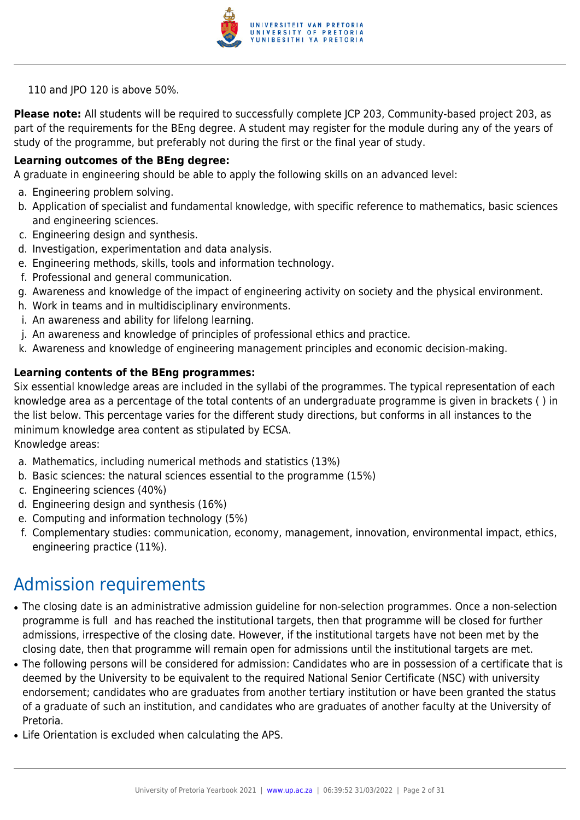

110 and JPO 120 is above 50%.

**Please note:** All students will be required to successfully complete JCP 203, Community-based project 203, as part of the requirements for the BEng degree. A student may register for the module during any of the years of study of the programme, but preferably not during the first or the final year of study.

### **Learning outcomes of the BEng degree:**

A graduate in engineering should be able to apply the following skills on an advanced level:

- a. Engineering problem solving.
- b. Application of specialist and fundamental knowledge, with specific reference to mathematics, basic sciences and engineering sciences.
- c. Engineering design and synthesis.
- d. Investigation, experimentation and data analysis.
- e. Engineering methods, skills, tools and information technology.
- f. Professional and general communication.
- g. Awareness and knowledge of the impact of engineering activity on society and the physical environment.
- h. Work in teams and in multidisciplinary environments.
- i. An awareness and ability for lifelong learning.
- j. An awareness and knowledge of principles of professional ethics and practice.
- k. Awareness and knowledge of engineering management principles and economic decision-making.

### **Learning contents of the BEng programmes:**

Six essential knowledge areas are included in the syllabi of the programmes. The typical representation of each knowledge area as a percentage of the total contents of an undergraduate programme is given in brackets ( ) in the list below. This percentage varies for the different study directions, but conforms in all instances to the minimum knowledge area content as stipulated by ECSA. Knowledge areas:

- a. Mathematics, including numerical methods and statistics (13%)
- b. Basic sciences: the natural sciences essential to the programme (15%)
- c. Engineering sciences (40%)
- d. Engineering design and synthesis (16%)
- e. Computing and information technology (5%)
- f. Complementary studies: communication, economy, management, innovation, environmental impact, ethics, engineering practice (11%).

## Admission requirements

- The closing date is an administrative admission guideline for non-selection programmes. Once a non-selection programme is full and has reached the institutional targets, then that programme will be closed for further admissions, irrespective of the closing date. However, if the institutional targets have not been met by the closing date, then that programme will remain open for admissions until the institutional targets are met.
- The following persons will be considered for admission: Candidates who are in possession of a certificate that is deemed by the University to be equivalent to the required National Senior Certificate (NSC) with university endorsement; candidates who are graduates from another tertiary institution or have been granted the status of a graduate of such an institution, and candidates who are graduates of another faculty at the University of Pretoria.
- Life Orientation is excluded when calculating the APS.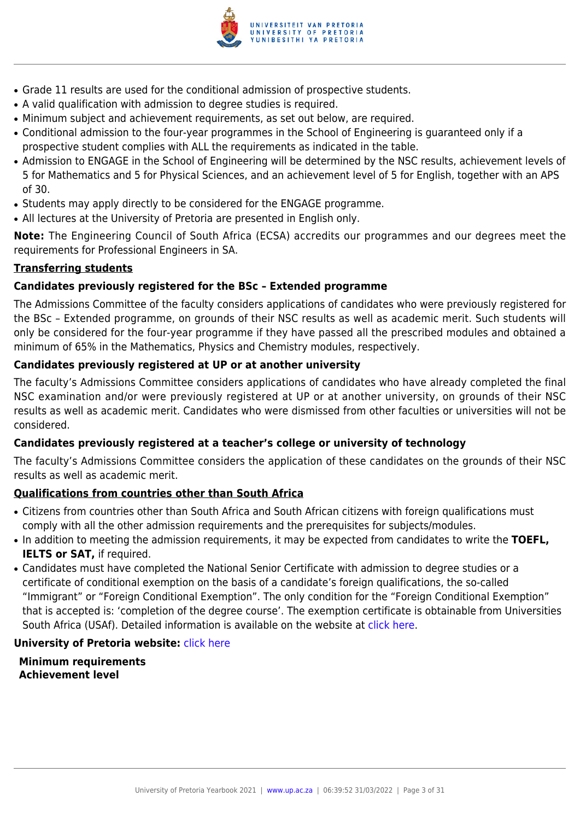

- Grade 11 results are used for the conditional admission of prospective students.
- A valid qualification with admission to degree studies is required.
- Minimum subject and achievement requirements, as set out below, are required.
- Conditional admission to the four-year programmes in the School of Engineering is guaranteed only if a prospective student complies with ALL the requirements as indicated in the table.
- Admission to ENGAGE in the School of Engineering will be determined by the NSC results, achievement levels of 5 for Mathematics and 5 for Physical Sciences, and an achievement level of 5 for English, together with an APS of 30.
- Students may apply directly to be considered for the ENGAGE programme.
- All lectures at the University of Pretoria are presented in English only.

**Note:** The Engineering Council of South Africa (ECSA) accredits our programmes and our degrees meet the requirements for Professional Engineers in SA.

### **Transferring students**

### **Candidates previously registered for the BSc – Extended programme**

The Admissions Committee of the faculty considers applications of candidates who were previously registered for the BSc – Extended programme, on grounds of their NSC results as well as academic merit. Such students will only be considered for the four-year programme if they have passed all the prescribed modules and obtained a minimum of 65% in the Mathematics, Physics and Chemistry modules, respectively.

### **Candidates previously registered at UP or at another university**

The faculty's Admissions Committee considers applications of candidates who have already completed the final NSC examination and/or were previously registered at UP or at another university, on grounds of their NSC results as well as academic merit. Candidates who were dismissed from other faculties or universities will not be considered.

### **Candidates previously registered at a teacher's college or university of technology**

The faculty's Admissions Committee considers the application of these candidates on the grounds of their NSC results as well as academic merit.

### **Qualifications from countries other than South Africa**

- Citizens from countries other than South Africa and South African citizens with foreign qualifications must comply with all the other admission requirements and the prerequisites for subjects/modules.
- In addition to meeting the admission requirements, it may be expected from candidates to write the TOEFL, **IELTS or SAT,** if required.
- Candidates must have completed the National Senior Certificate with admission to degree studies or a certificate of conditional exemption on the basis of a candidate's foreign qualifications, the so-called "Immigrant" or "Foreign Conditional Exemption". The only condition for the "Foreign Conditional Exemption" that is accepted is: 'completion of the degree course'. The exemption certificate is obtainable from Universities South Africa (USAf). Detailed information is available on the website at [click here.](http://mb.usaf.ac.za)

### **University of Pretoria website: [click here](http://www.up.ac.za/ebit)**

**Minimum requirements Achievement level**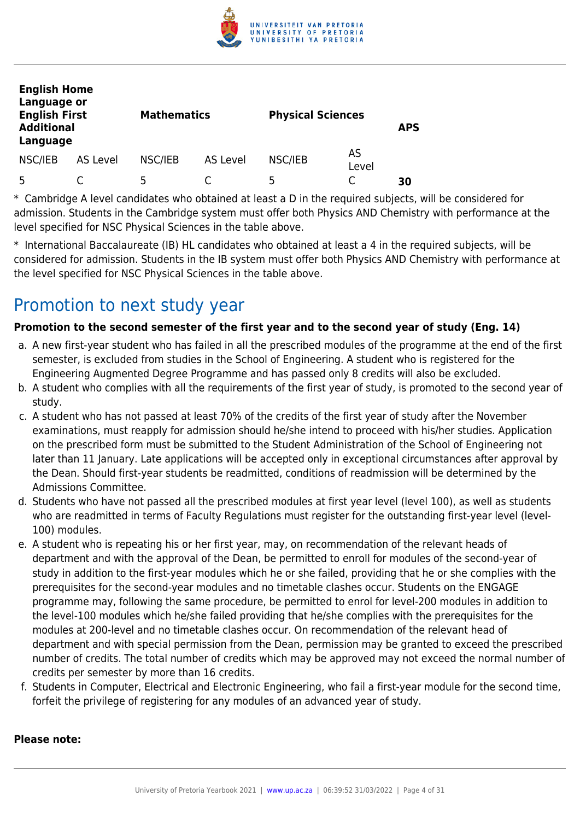

| <b>English Home</b><br>Language or<br><b>English First</b><br><b>Additional</b><br>Language |          | <b>Mathematics</b> |          | <b>Physical Sciences</b> |             | <b>APS</b> |
|---------------------------------------------------------------------------------------------|----------|--------------------|----------|--------------------------|-------------|------------|
| NSC/IEB                                                                                     | AS Level | NSC/IEB            | AS Level | NSC/IEB                  | AS<br>Level |            |
| 5                                                                                           |          | 5                  |          | 5                        |             | 30         |

\* Cambridge A level candidates who obtained at least a D in the required subjects, will be considered for admission. Students in the Cambridge system must offer both Physics AND Chemistry with performance at the level specified for NSC Physical Sciences in the table above.

\* International Baccalaureate (IB) HL candidates who obtained at least a 4 in the required subjects, will be considered for admission. Students in the IB system must offer both Physics AND Chemistry with performance at the level specified for NSC Physical Sciences in the table above.

## Promotion to next study year

### **Promotion to the second semester of the first year and to the second year of study (Eng. 14)**

- a. A new first-year student who has failed in all the prescribed modules of the programme at the end of the first semester, is excluded from studies in the School of Engineering. A student who is registered for the Engineering Augmented Degree Programme and has passed only 8 credits will also be excluded.
- b. A student who complies with all the requirements of the first year of study, is promoted to the second year of study.
- c. A student who has not passed at least 70% of the credits of the first year of study after the November examinations, must reapply for admission should he/she intend to proceed with his/her studies. Application on the prescribed form must be submitted to the Student Administration of the School of Engineering not later than 11 January. Late applications will be accepted only in exceptional circumstances after approval by the Dean. Should first-year students be readmitted, conditions of readmission will be determined by the Admissions Committee.
- d. Students who have not passed all the prescribed modules at first year level (level 100), as well as students who are readmitted in terms of Faculty Regulations must register for the outstanding first-year level (level-100) modules.
- e. A student who is repeating his or her first year, may, on recommendation of the relevant heads of department and with the approval of the Dean, be permitted to enroll for modules of the second-year of study in addition to the first-year modules which he or she failed, providing that he or she complies with the prerequisites for the second-year modules and no timetable clashes occur. Students on the ENGAGE programme may, following the same procedure, be permitted to enrol for level-200 modules in addition to the level-100 modules which he/she failed providing that he/she complies with the prerequisites for the modules at 200-level and no timetable clashes occur. On recommendation of the relevant head of department and with special permission from the Dean, permission may be granted to exceed the prescribed number of credits. The total number of credits which may be approved may not exceed the normal number of credits per semester by more than 16 credits.
- f. Students in Computer, Electrical and Electronic Engineering, who fail a first-year module for the second time, forfeit the privilege of registering for any modules of an advanced year of study.

### **Please note:**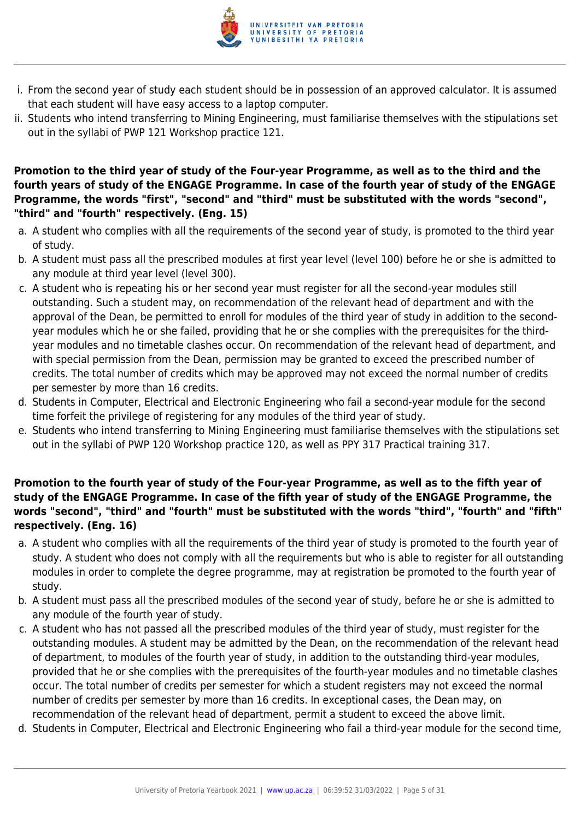

- i. From the second year of study each student should be in possession of an approved calculator. It is assumed that each student will have easy access to a laptop computer.
- ii. Students who intend transferring to Mining Engineering, must familiarise themselves with the stipulations set out in the syllabi of PWP 121 Workshop practice 121.

### **Promotion to the third year of study of the Four-year Programme, as well as to the third and the fourth years of study of the ENGAGE Programme. In case of the fourth year of study of the ENGAGE Programme, the words "first", "second" and "third" must be substituted with the words "second", "third" and "fourth" respectively. (Eng. 15)**

- a. A student who complies with all the requirements of the second year of study, is promoted to the third year of study.
- b. A student must pass all the prescribed modules at first year level (level 100) before he or she is admitted to any module at third year level (level 300).
- c. A student who is repeating his or her second year must register for all the second-year modules still outstanding. Such a student may, on recommendation of the relevant head of department and with the approval of the Dean, be permitted to enroll for modules of the third year of study in addition to the secondyear modules which he or she failed, providing that he or she complies with the prerequisites for the thirdyear modules and no timetable clashes occur. On recommendation of the relevant head of department, and with special permission from the Dean, permission may be granted to exceed the prescribed number of credits. The total number of credits which may be approved may not exceed the normal number of credits per semester by more than 16 credits.
- d. Students in Computer, Electrical and Electronic Engineering who fail a second-year module for the second time forfeit the privilege of registering for any modules of the third year of study.
- e. Students who intend transferring to Mining Engineering must familiarise themselves with the stipulations set out in the syllabi of PWP 120 Workshop practice 120, as well as PPY 317 Practical training 317.

### **Promotion to the fourth year of study of the Four-year Programme, as well as to the fifth year of study of the ENGAGE Programme. In case of the fifth year of study of the ENGAGE Programme, the words "second", "third" and "fourth" must be substituted with the words "third", "fourth" and "fifth" respectively. (Eng. 16)**

- a. A student who complies with all the requirements of the third year of study is promoted to the fourth year of study. A student who does not comply with all the requirements but who is able to register for all outstanding modules in order to complete the degree programme, may at registration be promoted to the fourth year of study.
- b. A student must pass all the prescribed modules of the second year of study, before he or she is admitted to any module of the fourth year of study.
- c. A student who has not passed all the prescribed modules of the third year of study, must register for the outstanding modules. A student may be admitted by the Dean, on the recommendation of the relevant head of department, to modules of the fourth year of study, in addition to the outstanding third-year modules, provided that he or she complies with the prerequisites of the fourth-year modules and no timetable clashes occur. The total number of credits per semester for which a student registers may not exceed the normal number of credits per semester by more than 16 credits. In exceptional cases, the Dean may, on recommendation of the relevant head of department, permit a student to exceed the above limit.
- d. Students in Computer, Electrical and Electronic Engineering who fail a third-year module for the second time,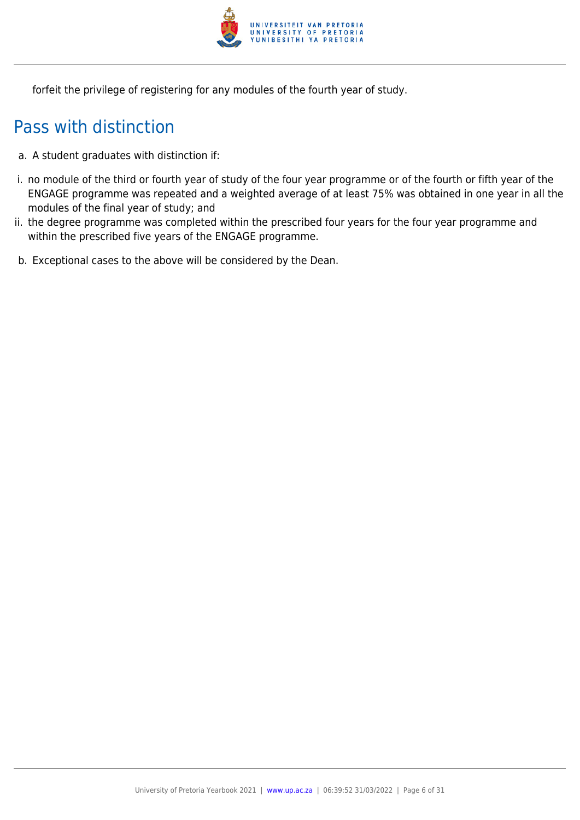

forfeit the privilege of registering for any modules of the fourth year of study.

## Pass with distinction

- a. A student graduates with distinction if:
- i. no module of the third or fourth year of study of the four year programme or of the fourth or fifth year of the ENGAGE programme was repeated and a weighted average of at least 75% was obtained in one year in all the modules of the final year of study; and
- ii. the degree programme was completed within the prescribed four years for the four year programme and within the prescribed five years of the ENGAGE programme.
- b. Exceptional cases to the above will be considered by the Dean.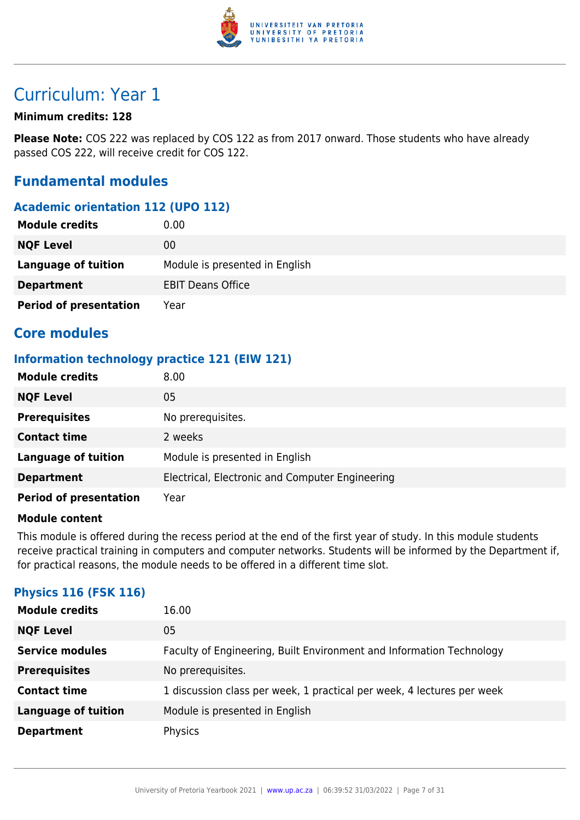

## Curriculum: Year 1

### **Minimum credits: 128**

**Please Note:** COS 222 was replaced by COS 122 as from 2017 onward. Those students who have already passed COS 222, will receive credit for COS 122.

### **Fundamental modules**

### **Academic orientation 112 (UPO 112)**

| <b>Module credits</b>         | 0.00                           |
|-------------------------------|--------------------------------|
| <b>NQF Level</b>              | 00                             |
| <b>Language of tuition</b>    | Module is presented in English |
| <b>Department</b>             | <b>EBIT Deans Office</b>       |
| <b>Period of presentation</b> | Year                           |

### **Core modules**

### **Information technology practice 121 (EIW 121)**

| <b>Module credits</b>         | 8.00                                            |
|-------------------------------|-------------------------------------------------|
| <b>NQF Level</b>              | 05                                              |
| <b>Prerequisites</b>          | No prerequisites.                               |
| <b>Contact time</b>           | 2 weeks                                         |
| <b>Language of tuition</b>    | Module is presented in English                  |
| <b>Department</b>             | Electrical, Electronic and Computer Engineering |
| <b>Period of presentation</b> | Year                                            |

### **Module content**

This module is offered during the recess period at the end of the first year of study. In this module students receive practical training in computers and computer networks. Students will be informed by the Department if, for practical reasons, the module needs to be offered in a different time slot.

### **Physics 116 (FSK 116)**

| <b>Module credits</b>      | 16.00                                                                  |
|----------------------------|------------------------------------------------------------------------|
| <b>NQF Level</b>           | 05                                                                     |
| <b>Service modules</b>     | Faculty of Engineering, Built Environment and Information Technology   |
| <b>Prerequisites</b>       | No prerequisites.                                                      |
| <b>Contact time</b>        | 1 discussion class per week, 1 practical per week, 4 lectures per week |
| <b>Language of tuition</b> | Module is presented in English                                         |
| <b>Department</b>          | Physics                                                                |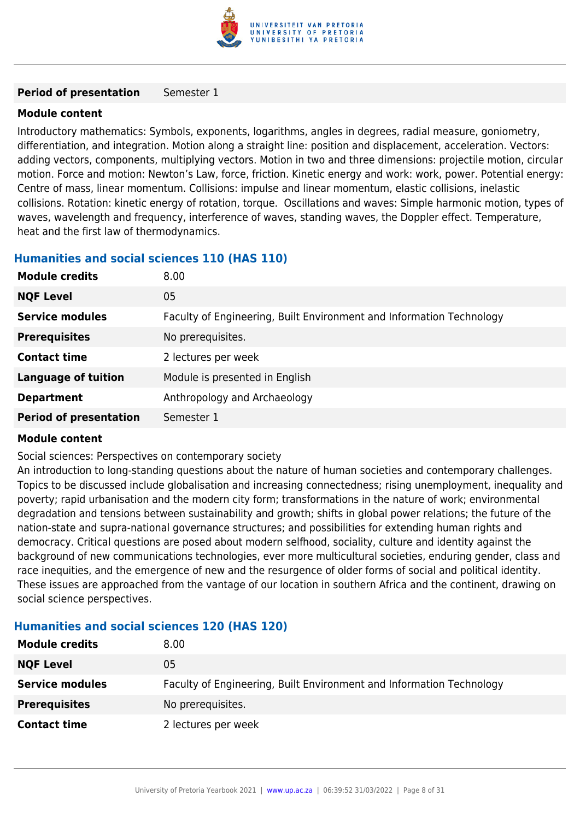

#### **Period of presentation** Semester 1

### **Module content**

Introductory mathematics: Symbols, exponents, logarithms, angles in degrees, radial measure, goniometry, differentiation, and integration. Motion along a straight line: position and displacement, acceleration. Vectors: adding vectors, components, multiplying vectors. Motion in two and three dimensions: projectile motion, circular motion. Force and motion: Newton's Law, force, friction. Kinetic energy and work: work, power. Potential energy: Centre of mass, linear momentum. Collisions: impulse and linear momentum, elastic collisions, inelastic collisions. Rotation: kinetic energy of rotation, torque. Oscillations and waves: Simple harmonic motion, types of waves, wavelength and frequency, interference of waves, standing waves, the Doppler effect. Temperature, heat and the first law of thermodynamics.

### **Humanities and social sciences 110 (HAS 110)**

| <b>Module credits</b>         | 8.00                                                                 |
|-------------------------------|----------------------------------------------------------------------|
| <b>NQF Level</b>              | 05                                                                   |
| <b>Service modules</b>        | Faculty of Engineering, Built Environment and Information Technology |
| <b>Prerequisites</b>          | No prerequisites.                                                    |
| <b>Contact time</b>           | 2 lectures per week                                                  |
| <b>Language of tuition</b>    | Module is presented in English                                       |
| <b>Department</b>             | Anthropology and Archaeology                                         |
| <b>Period of presentation</b> | Semester 1                                                           |

### **Module content**

Social sciences: Perspectives on contemporary society

An introduction to long-standing questions about the nature of human societies and contemporary challenges. Topics to be discussed include globalisation and increasing connectedness; rising unemployment, inequality and poverty; rapid urbanisation and the modern city form; transformations in the nature of work; environmental degradation and tensions between sustainability and growth; shifts in global power relations; the future of the nation-state and supra-national governance structures; and possibilities for extending human rights and democracy. Critical questions are posed about modern selfhood, sociality, culture and identity against the background of new communications technologies, ever more multicultural societies, enduring gender, class and race inequities, and the emergence of new and the resurgence of older forms of social and political identity. These issues are approached from the vantage of our location in southern Africa and the continent, drawing on social science perspectives.

### **Humanities and social sciences 120 (HAS 120)**

| <b>Module credits</b>  | 8.00                                                                 |
|------------------------|----------------------------------------------------------------------|
| <b>NQF Level</b>       | 05                                                                   |
| <b>Service modules</b> | Faculty of Engineering, Built Environment and Information Technology |
| <b>Prerequisites</b>   | No prerequisites.                                                    |
| <b>Contact time</b>    | 2 lectures per week                                                  |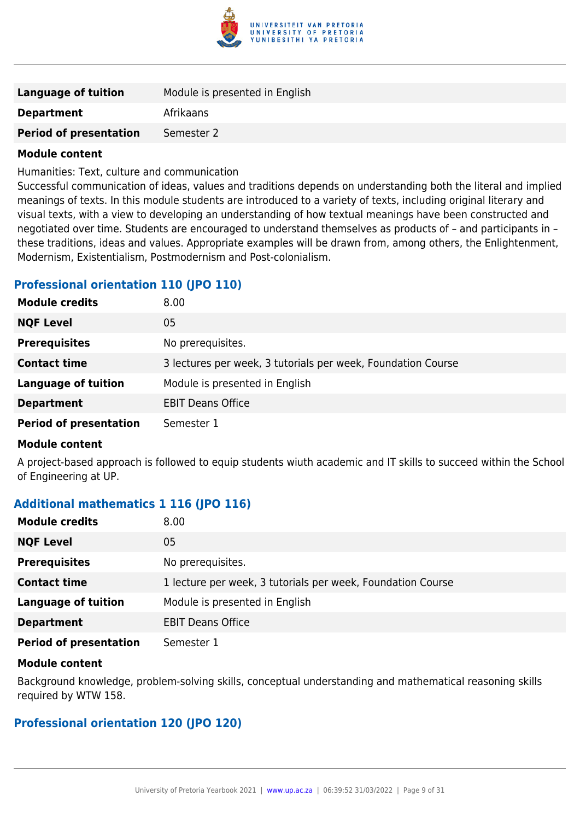

| Language of tuition           | Module is presented in English |
|-------------------------------|--------------------------------|
| <b>Department</b>             | Afrikaans                      |
| <b>Period of presentation</b> | Semester 2                     |
|                               |                                |

Humanities: Text, culture and communication

Successful communication of ideas, values and traditions depends on understanding both the literal and implied meanings of texts. In this module students are introduced to a variety of texts, including original literary and visual texts, with a view to developing an understanding of how textual meanings have been constructed and negotiated over time. Students are encouraged to understand themselves as products of – and participants in – these traditions, ideas and values. Appropriate examples will be drawn from, among others, the Enlightenment, Modernism, Existentialism, Postmodernism and Post-colonialism.

### **Professional orientation 110 (JPO 110)**

| <b>Module credits</b>         | 8.00                                                         |
|-------------------------------|--------------------------------------------------------------|
| <b>NQF Level</b>              | 05                                                           |
| <b>Prerequisites</b>          | No prerequisites.                                            |
| <b>Contact time</b>           | 3 lectures per week, 3 tutorials per week, Foundation Course |
| <b>Language of tuition</b>    | Module is presented in English                               |
| <b>Department</b>             | <b>EBIT Deans Office</b>                                     |
| <b>Period of presentation</b> | Semester 1                                                   |

### **Module content**

A project-based approach is followed to equip students wiuth academic and IT skills to succeed within the School of Engineering at UP.

### **Additional mathematics 1 116 (JPO 116)**

| <b>Module credits</b>         | 8.00                                                        |
|-------------------------------|-------------------------------------------------------------|
| <b>NQF Level</b>              | 05                                                          |
| <b>Prerequisites</b>          | No prerequisites.                                           |
| <b>Contact time</b>           | 1 lecture per week, 3 tutorials per week, Foundation Course |
| <b>Language of tuition</b>    | Module is presented in English                              |
| <b>Department</b>             | <b>EBIT Deans Office</b>                                    |
| <b>Period of presentation</b> | Semester 1                                                  |

### **Module content**

Background knowledge, problem-solving skills, conceptual understanding and mathematical reasoning skills required by WTW 158.

### **Professional orientation 120 (JPO 120)**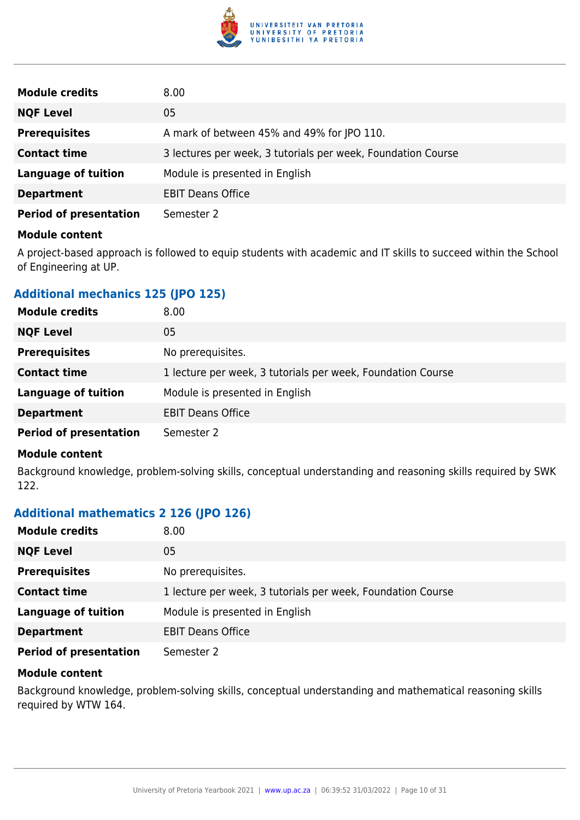

| <b>Module credits</b>         | 8.00                                                         |
|-------------------------------|--------------------------------------------------------------|
| <b>NQF Level</b>              | 05                                                           |
| <b>Prerequisites</b>          | A mark of between 45% and 49% for JPO 110.                   |
| <b>Contact time</b>           | 3 lectures per week, 3 tutorials per week, Foundation Course |
| <b>Language of tuition</b>    | Module is presented in English                               |
| <b>Department</b>             | <b>EBIT Deans Office</b>                                     |
| <b>Period of presentation</b> | Semester 2                                                   |

A project-based approach is followed to equip students with academic and IT skills to succeed within the School of Engineering at UP.

### **Additional mechanics 125 (JPO 125)**

| <b>Module credits</b>         | 8.00                                                        |
|-------------------------------|-------------------------------------------------------------|
| <b>NQF Level</b>              | 05                                                          |
| <b>Prerequisites</b>          | No prerequisites.                                           |
| <b>Contact time</b>           | 1 lecture per week, 3 tutorials per week, Foundation Course |
| <b>Language of tuition</b>    | Module is presented in English                              |
| <b>Department</b>             | <b>EBIT Deans Office</b>                                    |
| <b>Period of presentation</b> | Semester 2                                                  |

### **Module content**

Background knowledge, problem-solving skills, conceptual understanding and reasoning skills required by SWK 122.

### **Additional mathematics 2 126 (JPO 126)**

| <b>Module credits</b>         | 8.00                                                        |
|-------------------------------|-------------------------------------------------------------|
| <b>NQF Level</b>              | 05                                                          |
| <b>Prerequisites</b>          | No prerequisites.                                           |
| <b>Contact time</b>           | 1 lecture per week, 3 tutorials per week, Foundation Course |
| <b>Language of tuition</b>    | Module is presented in English                              |
| <b>Department</b>             | <b>EBIT Deans Office</b>                                    |
| <b>Period of presentation</b> | Semester 2                                                  |

### **Module content**

Background knowledge, problem-solving skills, conceptual understanding and mathematical reasoning skills required by WTW 164.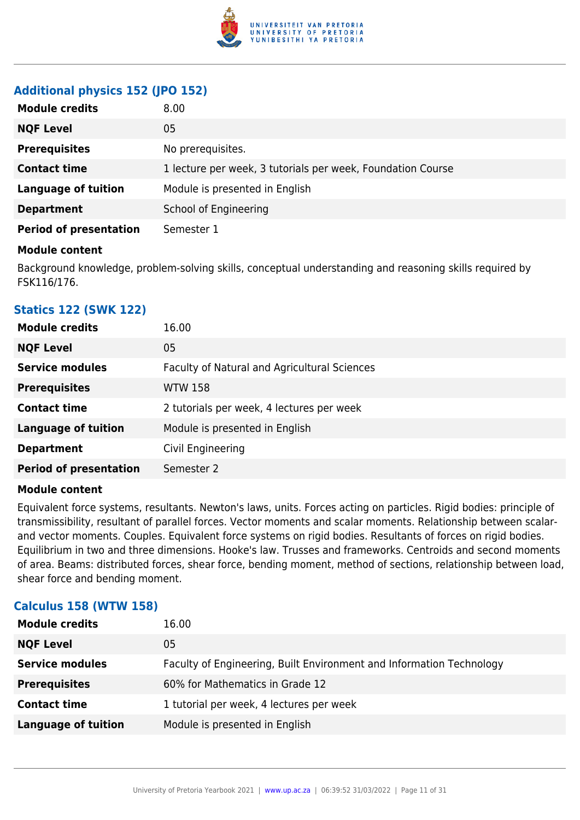

### **Additional physics 152 (JPO 152)**

| <b>Module credits</b>         | 8.00                                                        |
|-------------------------------|-------------------------------------------------------------|
| <b>NQF Level</b>              | 05                                                          |
| <b>Prerequisites</b>          | No prerequisites.                                           |
| <b>Contact time</b>           | 1 lecture per week, 3 tutorials per week, Foundation Course |
| <b>Language of tuition</b>    | Module is presented in English                              |
| <b>Department</b>             | School of Engineering                                       |
| <b>Period of presentation</b> | Semester 1                                                  |

### **Module content**

Background knowledge, problem-solving skills, conceptual understanding and reasoning skills required by FSK116/176.

### **Statics 122 (SWK 122)**

| <b>Module credits</b>         | 16.00                                        |
|-------------------------------|----------------------------------------------|
| <b>NQF Level</b>              | 05                                           |
| <b>Service modules</b>        | Faculty of Natural and Agricultural Sciences |
| <b>Prerequisites</b>          | <b>WTW 158</b>                               |
| <b>Contact time</b>           | 2 tutorials per week, 4 lectures per week    |
| <b>Language of tuition</b>    | Module is presented in English               |
| <b>Department</b>             | Civil Engineering                            |
| <b>Period of presentation</b> | Semester 2                                   |
|                               |                                              |

### **Module content**

Equivalent force systems, resultants. Newton's laws, units. Forces acting on particles. Rigid bodies: principle of transmissibility, resultant of parallel forces. Vector moments and scalar moments. Relationship between scalarand vector moments. Couples. Equivalent force systems on rigid bodies. Resultants of forces on rigid bodies. Equilibrium in two and three dimensions. Hooke's law. Trusses and frameworks. Centroids and second moments of area. Beams: distributed forces, shear force, bending moment, method of sections, relationship between load, shear force and bending moment.

### **Calculus 158 (WTW 158)**

| <b>Module credits</b>      | 16.00                                                                |
|----------------------------|----------------------------------------------------------------------|
| <b>NQF Level</b>           | 05                                                                   |
| <b>Service modules</b>     | Faculty of Engineering, Built Environment and Information Technology |
| <b>Prerequisites</b>       | 60% for Mathematics in Grade 12                                      |
| <b>Contact time</b>        | 1 tutorial per week, 4 lectures per week                             |
| <b>Language of tuition</b> | Module is presented in English                                       |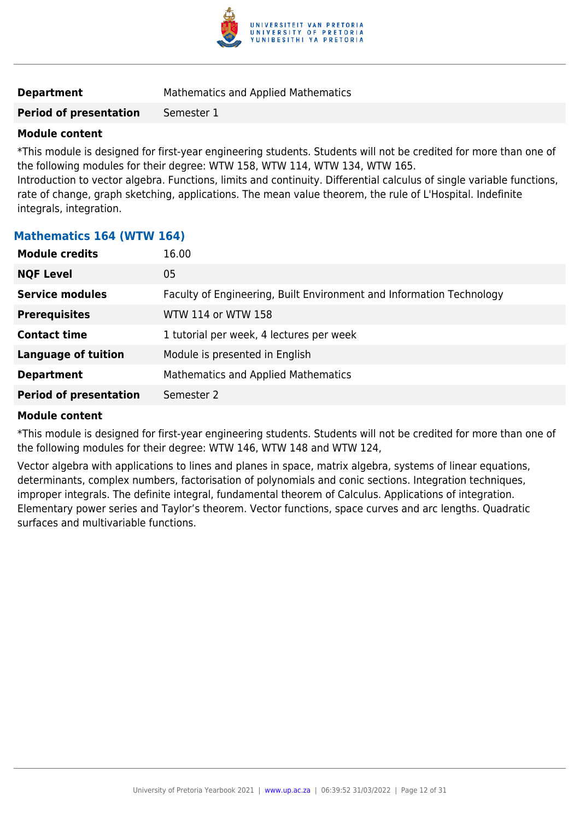

| <b>Mathematics and Applied Mathematics</b> |
|--------------------------------------------|
|                                            |

### **Period of presentation** Semester 1

### **Module content**

\*This module is designed for first-year engineering students. Students will not be credited for more than one of the following modules for their degree: WTW 158, WTW 114, WTW 134, WTW 165. Introduction to vector algebra. Functions, limits and continuity. Differential calculus of single variable functions,

rate of change, graph sketching, applications. The mean value theorem, the rule of L'Hospital. Indefinite integrals, integration.

### **Mathematics 164 (WTW 164)**

| <b>Module credits</b>         | 16.00                                                                |
|-------------------------------|----------------------------------------------------------------------|
| <b>NQF Level</b>              | 05                                                                   |
| <b>Service modules</b>        | Faculty of Engineering, Built Environment and Information Technology |
| <b>Prerequisites</b>          | WTW 114 or WTW 158                                                   |
| <b>Contact time</b>           | 1 tutorial per week, 4 lectures per week                             |
| <b>Language of tuition</b>    | Module is presented in English                                       |
| <b>Department</b>             | Mathematics and Applied Mathematics                                  |
| <b>Period of presentation</b> | Semester 2                                                           |

### **Module content**

\*This module is designed for first-year engineering students. Students will not be credited for more than one of the following modules for their degree: WTW 146, WTW 148 and WTW 124,

Vector algebra with applications to lines and planes in space, matrix algebra, systems of linear equations, determinants, complex numbers, factorisation of polynomials and conic sections. Integration techniques, improper integrals. The definite integral, fundamental theorem of Calculus. Applications of integration. Elementary power series and Taylor's theorem. Vector functions, space curves and arc lengths. Quadratic surfaces and multivariable functions.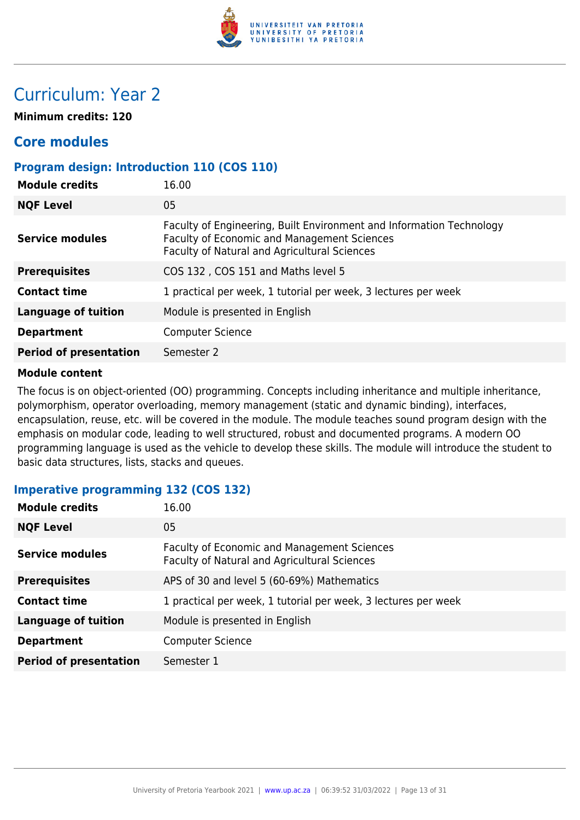

## Curriculum: Year 2

**Minimum credits: 120**

### **Core modules**

### **Program design: Introduction 110 (COS 110)**

| <b>Module credits</b>         | 16.00                                                                                                                                                               |
|-------------------------------|---------------------------------------------------------------------------------------------------------------------------------------------------------------------|
| <b>NQF Level</b>              | 05                                                                                                                                                                  |
| <b>Service modules</b>        | Faculty of Engineering, Built Environment and Information Technology<br>Faculty of Economic and Management Sciences<br>Faculty of Natural and Agricultural Sciences |
| <b>Prerequisites</b>          | COS 132, COS 151 and Maths level 5                                                                                                                                  |
| <b>Contact time</b>           | 1 practical per week, 1 tutorial per week, 3 lectures per week                                                                                                      |
| <b>Language of tuition</b>    | Module is presented in English                                                                                                                                      |
| <b>Department</b>             | <b>Computer Science</b>                                                                                                                                             |
| <b>Period of presentation</b> | Semester 2                                                                                                                                                          |
|                               |                                                                                                                                                                     |

### **Module content**

The focus is on object-oriented (OO) programming. Concepts including inheritance and multiple inheritance, polymorphism, operator overloading, memory management (static and dynamic binding), interfaces, encapsulation, reuse, etc. will be covered in the module. The module teaches sound program design with the emphasis on modular code, leading to well structured, robust and documented programs. A modern OO programming language is used as the vehicle to develop these skills. The module will introduce the student to basic data structures, lists, stacks and queues.

### **Imperative programming 132 (COS 132)**

| <b>Module credits</b>         | 16.00                                                                                       |
|-------------------------------|---------------------------------------------------------------------------------------------|
| <b>NQF Level</b>              | 05                                                                                          |
| <b>Service modules</b>        | Faculty of Economic and Management Sciences<br>Faculty of Natural and Agricultural Sciences |
| <b>Prerequisites</b>          | APS of 30 and level 5 (60-69%) Mathematics                                                  |
| <b>Contact time</b>           | 1 practical per week, 1 tutorial per week, 3 lectures per week                              |
| <b>Language of tuition</b>    | Module is presented in English                                                              |
| <b>Department</b>             | <b>Computer Science</b>                                                                     |
| <b>Period of presentation</b> | Semester 1                                                                                  |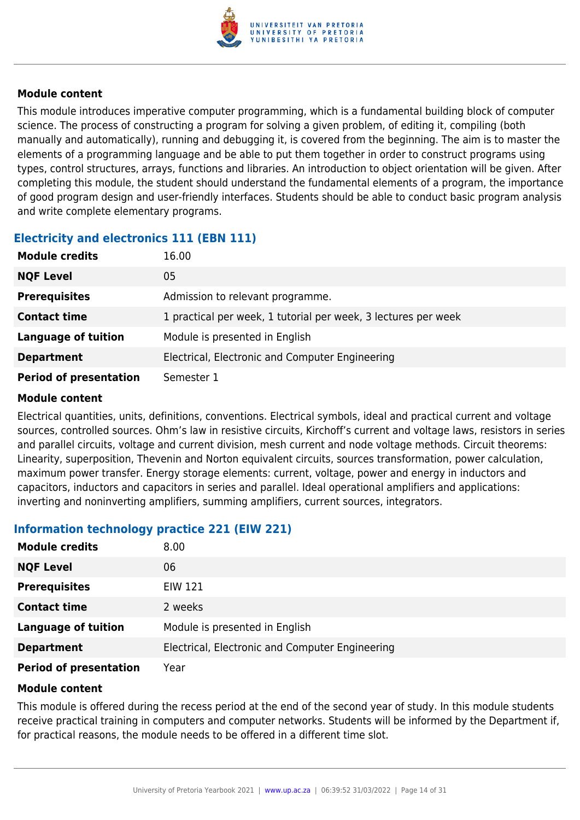

This module introduces imperative computer programming, which is a fundamental building block of computer science. The process of constructing a program for solving a given problem, of editing it, compiling (both manually and automatically), running and debugging it, is covered from the beginning. The aim is to master the elements of a programming language and be able to put them together in order to construct programs using types, control structures, arrays, functions and libraries. An introduction to object orientation will be given. After completing this module, the student should understand the fundamental elements of a program, the importance of good program design and user-friendly interfaces. Students should be able to conduct basic program analysis and write complete elementary programs.

### **Electricity and electronics 111 (EBN 111)**

| <b>Module credits</b>         | 16.00                                                          |
|-------------------------------|----------------------------------------------------------------|
| <b>NQF Level</b>              | 05                                                             |
| <b>Prerequisites</b>          | Admission to relevant programme.                               |
| <b>Contact time</b>           | 1 practical per week, 1 tutorial per week, 3 lectures per week |
| <b>Language of tuition</b>    | Module is presented in English                                 |
| <b>Department</b>             | Electrical, Electronic and Computer Engineering                |
| <b>Period of presentation</b> | Semester 1                                                     |

### **Module content**

Electrical quantities, units, definitions, conventions. Electrical symbols, ideal and practical current and voltage sources, controlled sources. Ohm's law in resistive circuits, Kirchoff's current and voltage laws, resistors in series and parallel circuits, voltage and current division, mesh current and node voltage methods. Circuit theorems: Linearity, superposition, Thevenin and Norton equivalent circuits, sources transformation, power calculation, maximum power transfer. Energy storage elements: current, voltage, power and energy in inductors and capacitors, inductors and capacitors in series and parallel. Ideal operational amplifiers and applications: inverting and noninverting amplifiers, summing amplifiers, current sources, integrators.

### **Information technology practice 221 (EIW 221)**

| <b>Module credits</b>         | 8.00                                            |
|-------------------------------|-------------------------------------------------|
| <b>NQF Level</b>              | 06                                              |
| <b>Prerequisites</b>          | <b>EIW 121</b>                                  |
| <b>Contact time</b>           | 2 weeks                                         |
| <b>Language of tuition</b>    | Module is presented in English                  |
| <b>Department</b>             | Electrical, Electronic and Computer Engineering |
| <b>Period of presentation</b> | Year                                            |

### **Module content**

This module is offered during the recess period at the end of the second year of study. In this module students receive practical training in computers and computer networks. Students will be informed by the Department if, for practical reasons, the module needs to be offered in a different time slot.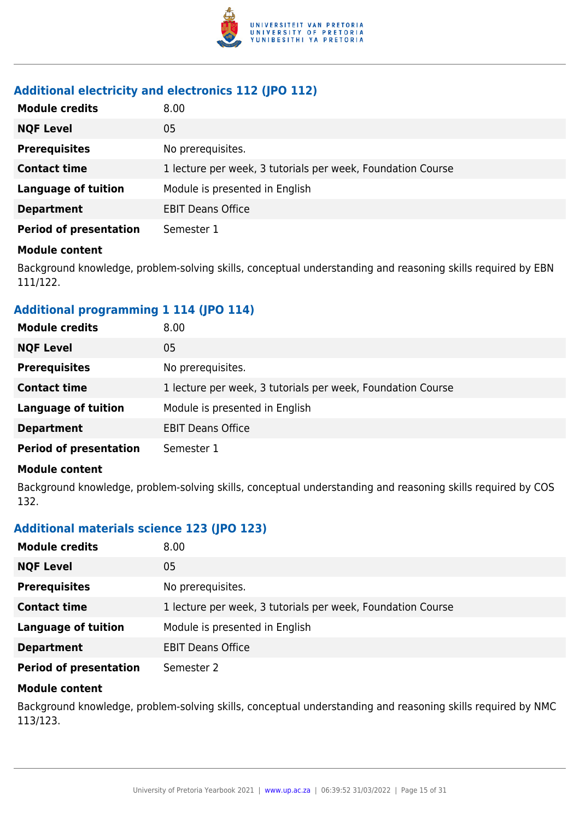

### **Additional electricity and electronics 112 (JPO 112)**

| <b>Module credits</b>         | 8.00                                                        |
|-------------------------------|-------------------------------------------------------------|
| <b>NQF Level</b>              | 05                                                          |
| <b>Prerequisites</b>          | No prerequisites.                                           |
| <b>Contact time</b>           | 1 lecture per week, 3 tutorials per week, Foundation Course |
| <b>Language of tuition</b>    | Module is presented in English                              |
| <b>Department</b>             | <b>EBIT Deans Office</b>                                    |
| <b>Period of presentation</b> | Semester 1                                                  |

### **Module content**

Background knowledge, problem-solving skills, conceptual understanding and reasoning skills required by EBN 111/122.

### **Additional programming 1 114 (JPO 114)**

| <b>Module credits</b>         | 8.00                                                        |
|-------------------------------|-------------------------------------------------------------|
| <b>NQF Level</b>              | 05                                                          |
| <b>Prerequisites</b>          | No prerequisites.                                           |
| <b>Contact time</b>           | 1 lecture per week, 3 tutorials per week, Foundation Course |
| <b>Language of tuition</b>    | Module is presented in English                              |
| <b>Department</b>             | <b>EBIT Deans Office</b>                                    |
| <b>Period of presentation</b> | Semester 1                                                  |

### **Module content**

Background knowledge, problem-solving skills, conceptual understanding and reasoning skills required by COS 132.

### **Additional materials science 123 (JPO 123)**

| <b>Module credits</b>         | 8.00                                                        |
|-------------------------------|-------------------------------------------------------------|
| <b>NQF Level</b>              | 05                                                          |
| <b>Prerequisites</b>          | No prerequisites.                                           |
| <b>Contact time</b>           | 1 lecture per week, 3 tutorials per week, Foundation Course |
| <b>Language of tuition</b>    | Module is presented in English                              |
| <b>Department</b>             | <b>EBIT Deans Office</b>                                    |
| <b>Period of presentation</b> | Semester 2                                                  |

### **Module content**

Background knowledge, problem-solving skills, conceptual understanding and reasoning skills required by NMC 113/123.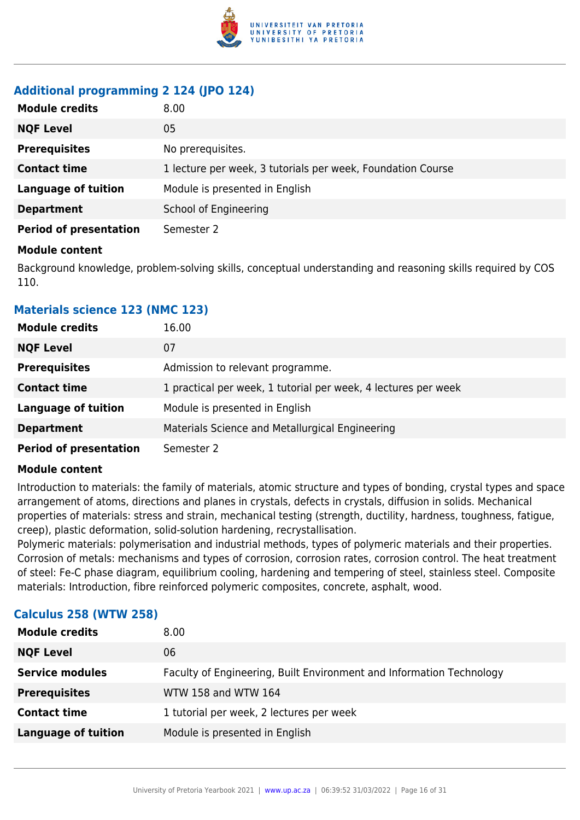

### **Additional programming 2 124 (JPO 124)**

| <b>Module credits</b>         | 8.00                                                        |
|-------------------------------|-------------------------------------------------------------|
| <b>NQF Level</b>              | 05                                                          |
| <b>Prerequisites</b>          | No prerequisites.                                           |
| <b>Contact time</b>           | 1 lecture per week, 3 tutorials per week, Foundation Course |
| <b>Language of tuition</b>    | Module is presented in English                              |
| <b>Department</b>             | School of Engineering                                       |
| <b>Period of presentation</b> | Semester 2                                                  |

### **Module content**

Background knowledge, problem-solving skills, conceptual understanding and reasoning skills required by COS 110.

### **Materials science 123 (NMC 123)**

| <b>Module credits</b>         | 16.00                                                          |
|-------------------------------|----------------------------------------------------------------|
| <b>NQF Level</b>              | 07                                                             |
| <b>Prerequisites</b>          | Admission to relevant programme.                               |
| <b>Contact time</b>           | 1 practical per week, 1 tutorial per week, 4 lectures per week |
| <b>Language of tuition</b>    | Module is presented in English                                 |
| <b>Department</b>             | Materials Science and Metallurgical Engineering                |
| <b>Period of presentation</b> | Semester 2                                                     |

### **Module content**

Introduction to materials: the family of materials, atomic structure and types of bonding, crystal types and space arrangement of atoms, directions and planes in crystals, defects in crystals, diffusion in solids. Mechanical properties of materials: stress and strain, mechanical testing (strength, ductility, hardness, toughness, fatigue, creep), plastic deformation, solid-solution hardening, recrystallisation.

Polymeric materials: polymerisation and industrial methods, types of polymeric materials and their properties. Corrosion of metals: mechanisms and types of corrosion, corrosion rates, corrosion control. The heat treatment of steel: Fe-C phase diagram, equilibrium cooling, hardening and tempering of steel, stainless steel. Composite materials: Introduction, fibre reinforced polymeric composites, concrete, asphalt, wood.

| <b>Module credits</b>      | 8.00                                                                 |
|----------------------------|----------------------------------------------------------------------|
| <b>NQF Level</b>           | 06                                                                   |
| <b>Service modules</b>     | Faculty of Engineering, Built Environment and Information Technology |
| <b>Prerequisites</b>       | WTW 158 and WTW 164                                                  |
| <b>Contact time</b>        | 1 tutorial per week, 2 lectures per week                             |
| <b>Language of tuition</b> | Module is presented in English                                       |

### **Calculus 258 (WTW 258)**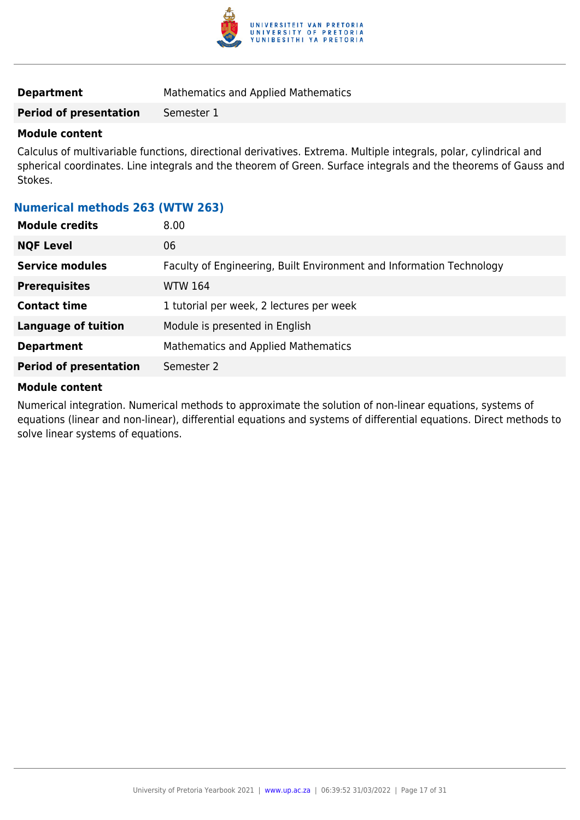

**Period of presentation** Semester 1

### **Module content**

Calculus of multivariable functions, directional derivatives. Extrema. Multiple integrals, polar, cylindrical and spherical coordinates. Line integrals and the theorem of Green. Surface integrals and the theorems of Gauss and Stokes.

### **Numerical methods 263 (WTW 263)**

| <b>Module credits</b><br>8.00 |                                                                      |
|-------------------------------|----------------------------------------------------------------------|
| <b>NQF Level</b><br>06        |                                                                      |
| <b>Service modules</b>        | Faculty of Engineering, Built Environment and Information Technology |
| <b>Prerequisites</b>          | <b>WTW 164</b>                                                       |
| <b>Contact time</b>           | 1 tutorial per week, 2 lectures per week                             |
| <b>Language of tuition</b>    | Module is presented in English                                       |
| <b>Department</b>             | Mathematics and Applied Mathematics                                  |
| <b>Period of presentation</b> | Semester 2                                                           |

### **Module content**

Numerical integration. Numerical methods to approximate the solution of non-linear equations, systems of equations (linear and non-linear), differential equations and systems of differential equations. Direct methods to solve linear systems of equations.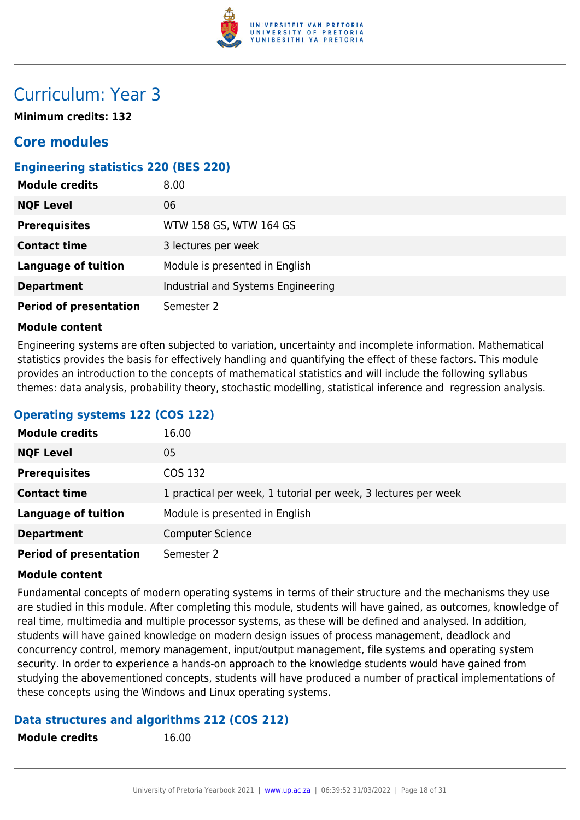

## Curriculum: Year 3

**Minimum credits: 132**

### **Core modules**

### **Engineering statistics 220 (BES 220)**

| <b>Module credits</b>         | 8.00                               |
|-------------------------------|------------------------------------|
| <b>NQF Level</b>              | 06                                 |
| <b>Prerequisites</b>          | WTW 158 GS, WTW 164 GS             |
| <b>Contact time</b>           | 3 lectures per week                |
| <b>Language of tuition</b>    | Module is presented in English     |
| <b>Department</b>             | Industrial and Systems Engineering |
| <b>Period of presentation</b> | Semester 2                         |

### **Module content**

Engineering systems are often subjected to variation, uncertainty and incomplete information. Mathematical statistics provides the basis for effectively handling and quantifying the effect of these factors. This module provides an introduction to the concepts of mathematical statistics and will include the following syllabus themes: data analysis, probability theory, stochastic modelling, statistical inference and regression analysis.

### **Operating systems 122 (COS 122)**

| <b>Module credits</b>         | 16.00                                                          |
|-------------------------------|----------------------------------------------------------------|
| <b>NQF Level</b>              | 05                                                             |
| <b>Prerequisites</b>          | COS 132                                                        |
| <b>Contact time</b>           | 1 practical per week, 1 tutorial per week, 3 lectures per week |
| <b>Language of tuition</b>    | Module is presented in English                                 |
| <b>Department</b>             | <b>Computer Science</b>                                        |
| <b>Period of presentation</b> | Semester 2                                                     |

### **Module content**

Fundamental concepts of modern operating systems in terms of their structure and the mechanisms they use are studied in this module. After completing this module, students will have gained, as outcomes, knowledge of real time, multimedia and multiple processor systems, as these will be defined and analysed. In addition, students will have gained knowledge on modern design issues of process management, deadlock and concurrency control, memory management, input/output management, file systems and operating system security. In order to experience a hands-on approach to the knowledge students would have gained from studying the abovementioned concepts, students will have produced a number of practical implementations of these concepts using the Windows and Linux operating systems.

### **Data structures and algorithms 212 (COS 212)**

```
Module credits 16.00
```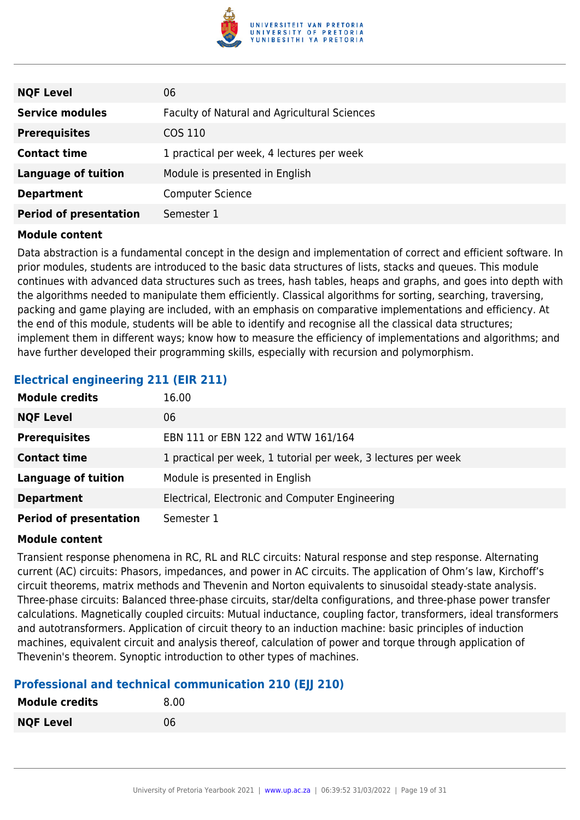

| <b>NQF Level</b>              | 06                                           |
|-------------------------------|----------------------------------------------|
| <b>Service modules</b>        | Faculty of Natural and Agricultural Sciences |
| <b>Prerequisites</b>          | COS 110                                      |
| <b>Contact time</b>           | 1 practical per week, 4 lectures per week    |
| <b>Language of tuition</b>    | Module is presented in English               |
| <b>Department</b>             | <b>Computer Science</b>                      |
| <b>Period of presentation</b> | Semester 1                                   |

Data abstraction is a fundamental concept in the design and implementation of correct and efficient software. In prior modules, students are introduced to the basic data structures of lists, stacks and queues. This module continues with advanced data structures such as trees, hash tables, heaps and graphs, and goes into depth with the algorithms needed to manipulate them efficiently. Classical algorithms for sorting, searching, traversing, packing and game playing are included, with an emphasis on comparative implementations and efficiency. At the end of this module, students will be able to identify and recognise all the classical data structures; implement them in different ways; know how to measure the efficiency of implementations and algorithms; and have further developed their programming skills, especially with recursion and polymorphism.

### **Electrical engineering 211 (EIR 211)**

| <b>Module credits</b>         | 16.00                                                          |
|-------------------------------|----------------------------------------------------------------|
| <b>NQF Level</b>              | 06                                                             |
| <b>Prerequisites</b>          | EBN 111 or EBN 122 and WTW 161/164                             |
| <b>Contact time</b>           | 1 practical per week, 1 tutorial per week, 3 lectures per week |
| <b>Language of tuition</b>    | Module is presented in English                                 |
| <b>Department</b>             | Electrical, Electronic and Computer Engineering                |
| <b>Period of presentation</b> | Semester 1                                                     |

### **Module content**

Transient response phenomena in RC, RL and RLC circuits: Natural response and step response. Alternating current (AC) circuits: Phasors, impedances, and power in AC circuits. The application of Ohm's law, Kirchoff's circuit theorems, matrix methods and Thevenin and Norton equivalents to sinusoidal steady-state analysis. Three-phase circuits: Balanced three-phase circuits, star/delta configurations, and three-phase power transfer calculations. Magnetically coupled circuits: Mutual inductance, coupling factor, transformers, ideal transformers and autotransformers. Application of circuit theory to an induction machine: basic principles of induction machines, equivalent circuit and analysis thereof, calculation of power and torque through application of Thevenin's theorem. Synoptic introduction to other types of machines.

### **Professional and technical communication 210 (EJJ 210)**

| <b>Module credits</b> | 8.00 |
|-----------------------|------|
| <b>NQF Level</b>      | 06   |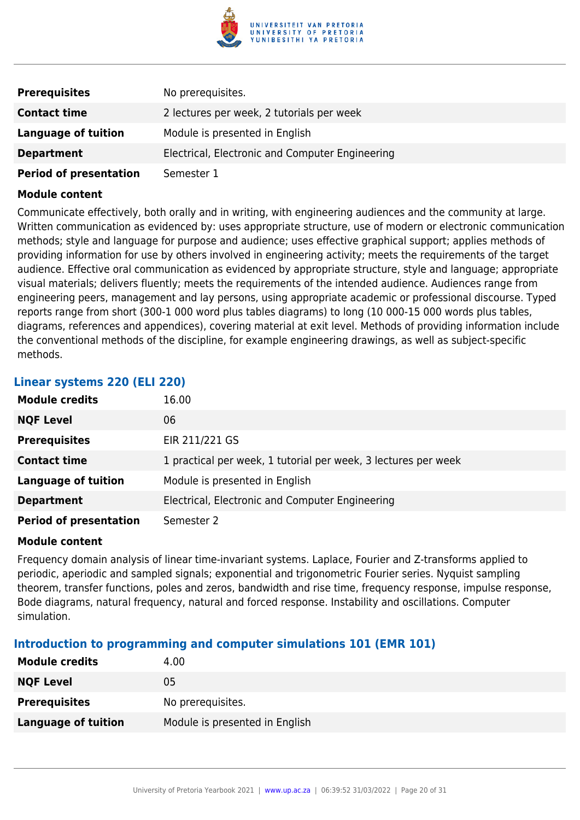

| <b>Prerequisites</b>          | No prerequisites.                               |
|-------------------------------|-------------------------------------------------|
| <b>Contact time</b>           | 2 lectures per week, 2 tutorials per week       |
| Language of tuition           | Module is presented in English                  |
| <b>Department</b>             | Electrical, Electronic and Computer Engineering |
| <b>Period of presentation</b> | Semester 1                                      |

Communicate effectively, both orally and in writing, with engineering audiences and the community at large. Written communication as evidenced by: uses appropriate structure, use of modern or electronic communication methods; style and language for purpose and audience; uses effective graphical support; applies methods of providing information for use by others involved in engineering activity; meets the requirements of the target audience. Effective oral communication as evidenced by appropriate structure, style and language; appropriate visual materials; delivers fluently; meets the requirements of the intended audience. Audiences range from engineering peers, management and lay persons, using appropriate academic or professional discourse. Typed reports range from short (300-1 000 word plus tables diagrams) to long (10 000-15 000 words plus tables, diagrams, references and appendices), covering material at exit level. Methods of providing information include the conventional methods of the discipline, for example engineering drawings, as well as subject-specific methods.

### **Linear systems 220 (ELI 220)**

| <b>Module credits</b>         | 16.00                                                          |
|-------------------------------|----------------------------------------------------------------|
| <b>NQF Level</b>              | 06                                                             |
| <b>Prerequisites</b>          | EIR 211/221 GS                                                 |
| <b>Contact time</b>           | 1 practical per week, 1 tutorial per week, 3 lectures per week |
| <b>Language of tuition</b>    | Module is presented in English                                 |
| <b>Department</b>             | Electrical, Electronic and Computer Engineering                |
| <b>Period of presentation</b> | Semester 2                                                     |

### **Module content**

Frequency domain analysis of linear time-invariant systems. Laplace, Fourier and Z-transforms applied to periodic, aperiodic and sampled signals; exponential and trigonometric Fourier series. Nyquist sampling theorem, transfer functions, poles and zeros, bandwidth and rise time, frequency response, impulse response, Bode diagrams, natural frequency, natural and forced response. Instability and oscillations. Computer simulation.

### **Introduction to programming and computer simulations 101 (EMR 101)**

| <b>Module credits</b> | 4.00                           |
|-----------------------|--------------------------------|
| <b>NQF Level</b>      | 05                             |
| <b>Prerequisites</b>  | No prerequisites.              |
| Language of tuition   | Module is presented in English |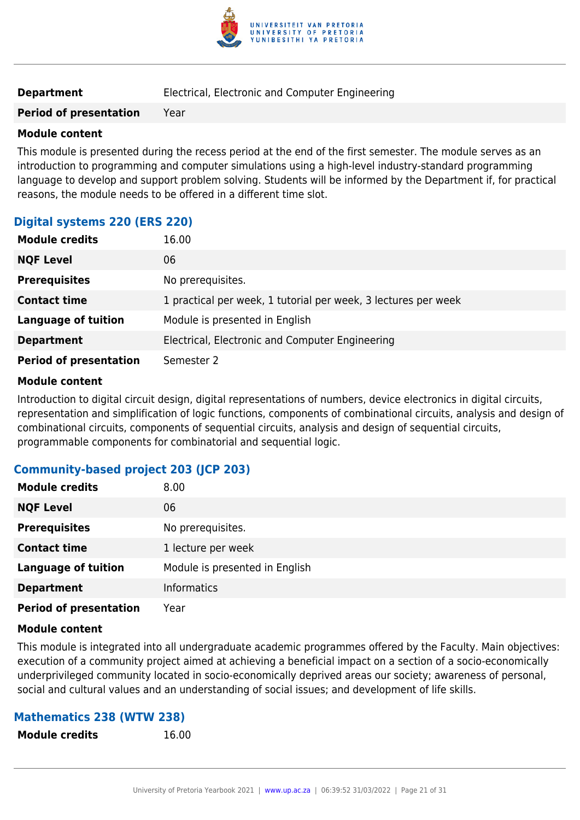

| <b>Department</b> | Electrical, Electronic and Computer Engineering |
|-------------------|-------------------------------------------------|
|-------------------|-------------------------------------------------|

**Period of presentation** Year

### **Module content**

This module is presented during the recess period at the end of the first semester. The module serves as an introduction to programming and computer simulations using a high-level industry-standard programming language to develop and support problem solving. Students will be informed by the Department if, for practical reasons, the module needs to be offered in a different time slot.

### **Digital systems 220 (ERS 220)**

| <b>Module credits</b>         | 16.00                                                          |
|-------------------------------|----------------------------------------------------------------|
| <b>NQF Level</b>              | 06                                                             |
| <b>Prerequisites</b>          | No prerequisites.                                              |
| <b>Contact time</b>           | 1 practical per week, 1 tutorial per week, 3 lectures per week |
| <b>Language of tuition</b>    | Module is presented in English                                 |
| <b>Department</b>             | Electrical, Electronic and Computer Engineering                |
| <b>Period of presentation</b> | Semester 2                                                     |

### **Module content**

Introduction to digital circuit design, digital representations of numbers, device electronics in digital circuits, representation and simplification of logic functions, components of combinational circuits, analysis and design of combinational circuits, components of sequential circuits, analysis and design of sequential circuits, programmable components for combinatorial and sequential logic.

### **Community-based project 203 (JCP 203)**

| <b>Module credits</b>         | 8.00                           |
|-------------------------------|--------------------------------|
| <b>NQF Level</b>              | 06                             |
| <b>Prerequisites</b>          | No prerequisites.              |
| <b>Contact time</b>           | 1 lecture per week             |
| <b>Language of tuition</b>    | Module is presented in English |
| <b>Department</b>             | <b>Informatics</b>             |
| <b>Period of presentation</b> | Year                           |

### **Module content**

This module is integrated into all undergraduate academic programmes offered by the Faculty. Main objectives: execution of a community project aimed at achieving a beneficial impact on a section of a socio-economically underprivileged community located in socio-economically deprived areas our society; awareness of personal, social and cultural values and an understanding of social issues; and development of life skills.

### **Mathematics 238 (WTW 238)**

**Module credits** 16.00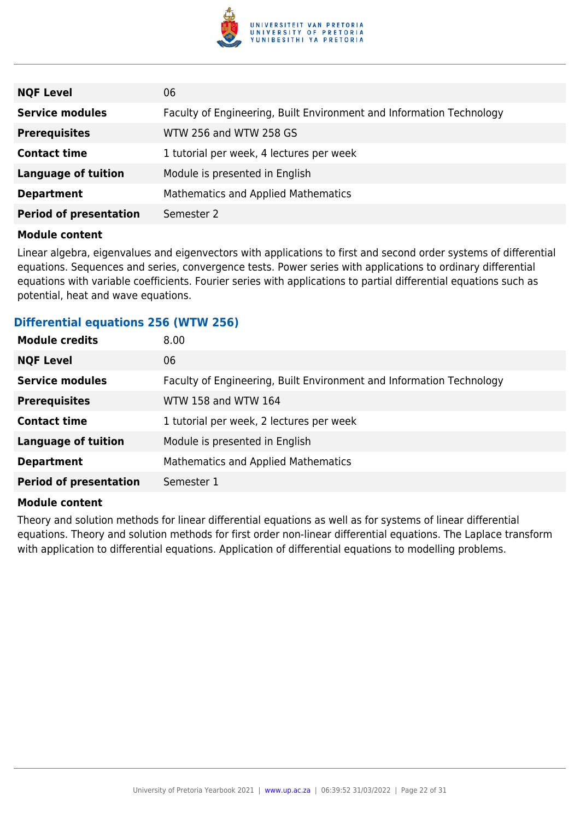

| <b>NQF Level</b>              | 06                                                                   |
|-------------------------------|----------------------------------------------------------------------|
| <b>Service modules</b>        | Faculty of Engineering, Built Environment and Information Technology |
| <b>Prerequisites</b>          | WTW 256 and WTW 258 GS                                               |
| <b>Contact time</b>           | 1 tutorial per week, 4 lectures per week                             |
| <b>Language of tuition</b>    | Module is presented in English                                       |
| <b>Department</b>             | Mathematics and Applied Mathematics                                  |
| <b>Period of presentation</b> | Semester 2                                                           |

Linear algebra, eigenvalues and eigenvectors with applications to first and second order systems of differential equations. Sequences and series, convergence tests. Power series with applications to ordinary differential equations with variable coefficients. Fourier series with applications to partial differential equations such as potential, heat and wave equations.

### **Differential equations 256 (WTW 256)**

| <b>Module credits</b>         | 8.00                                                                 |
|-------------------------------|----------------------------------------------------------------------|
| <b>NQF Level</b>              | 06                                                                   |
| <b>Service modules</b>        | Faculty of Engineering, Built Environment and Information Technology |
| <b>Prerequisites</b>          | WTW 158 and WTW 164                                                  |
| <b>Contact time</b>           | 1 tutorial per week, 2 lectures per week                             |
| <b>Language of tuition</b>    | Module is presented in English                                       |
| <b>Department</b>             | Mathematics and Applied Mathematics                                  |
| <b>Period of presentation</b> | Semester 1                                                           |
|                               |                                                                      |

### **Module content**

Theory and solution methods for linear differential equations as well as for systems of linear differential equations. Theory and solution methods for first order non-linear differential equations. The Laplace transform with application to differential equations. Application of differential equations to modelling problems.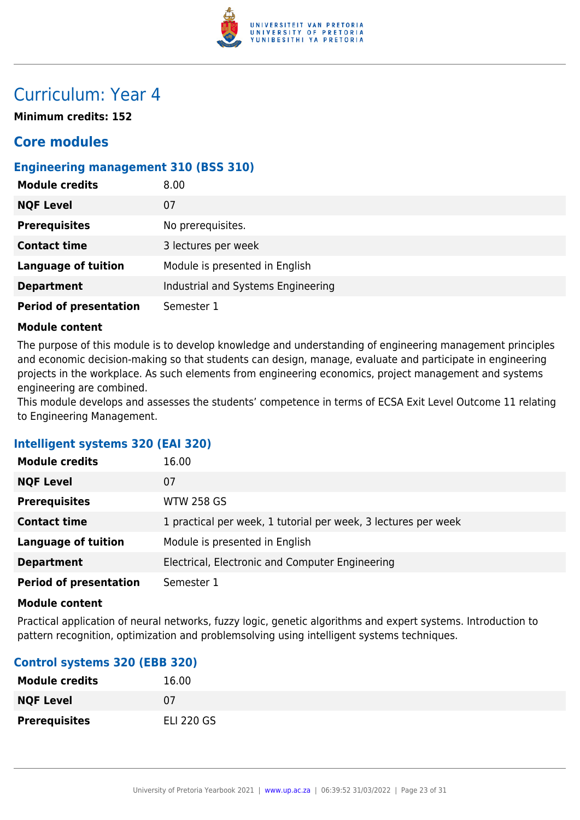

## Curriculum: Year 4

**Minimum credits: 152**

### **Core modules**

### **Engineering management 310 (BSS 310)**

| <b>Module credits</b>         | 8.00                               |
|-------------------------------|------------------------------------|
| <b>NQF Level</b>              | 07                                 |
| <b>Prerequisites</b>          | No prerequisites.                  |
| <b>Contact time</b>           | 3 lectures per week                |
| <b>Language of tuition</b>    | Module is presented in English     |
| <b>Department</b>             | Industrial and Systems Engineering |
| <b>Period of presentation</b> | Semester 1                         |

### **Module content**

The purpose of this module is to develop knowledge and understanding of engineering management principles and economic decision-making so that students can design, manage, evaluate and participate in engineering projects in the workplace. As such elements from engineering economics, project management and systems engineering are combined.

This module develops and assesses the students' competence in terms of ECSA Exit Level Outcome 11 relating to Engineering Management.

### **Intelligent systems 320 (EAI 320)**

| <b>Module credits</b>         | 16.00                                                          |
|-------------------------------|----------------------------------------------------------------|
| <b>NQF Level</b>              | 07                                                             |
| <b>Prerequisites</b>          | <b>WTW 258 GS</b>                                              |
| <b>Contact time</b>           | 1 practical per week, 1 tutorial per week, 3 lectures per week |
| <b>Language of tuition</b>    | Module is presented in English                                 |
| <b>Department</b>             | Electrical, Electronic and Computer Engineering                |
| <b>Period of presentation</b> | Semester 1                                                     |

### **Module content**

Practical application of neural networks, fuzzy logic, genetic algorithms and expert systems. Introduction to pattern recognition, optimization and problemsolving using intelligent systems techniques.

### **Control systems 320 (EBB 320)**

| <b>Module credits</b> | 16.00             |
|-----------------------|-------------------|
| <b>NQF Level</b>      | 07                |
| <b>Prerequisites</b>  | <b>ELI 220 GS</b> |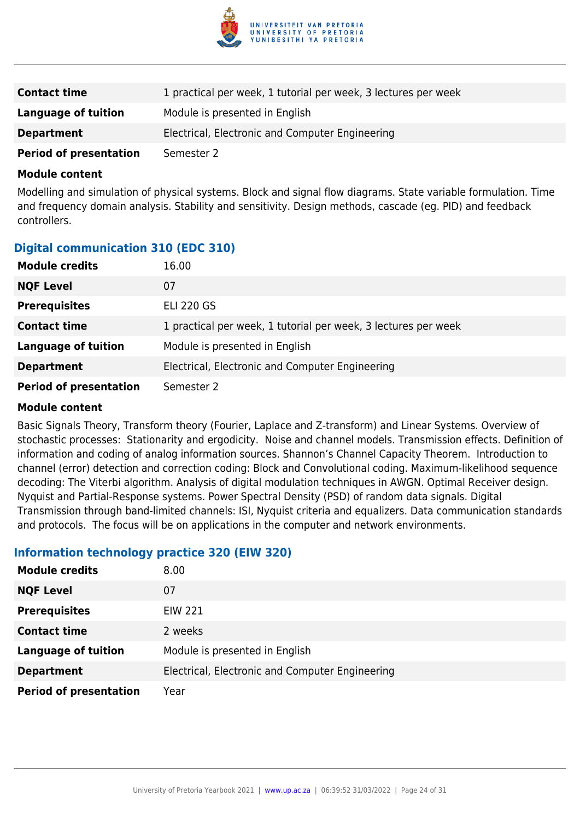

| <b>Contact time</b>           | 1 practical per week, 1 tutorial per week, 3 lectures per week |
|-------------------------------|----------------------------------------------------------------|
| Language of tuition           | Module is presented in English                                 |
| <b>Department</b>             | Electrical, Electronic and Computer Engineering                |
| <b>Period of presentation</b> | Semester 2                                                     |

Modelling and simulation of physical systems. Block and signal flow diagrams. State variable formulation. Time and frequency domain analysis. Stability and sensitivity. Design methods, cascade (eg. PID) and feedback controllers.

### **Digital communication 310 (EDC 310)**

| <b>Module credits</b>         | 16.00                                                          |
|-------------------------------|----------------------------------------------------------------|
| <b>NQF Level</b>              | 07                                                             |
| <b>Prerequisites</b>          | <b>ELI 220 GS</b>                                              |
| <b>Contact time</b>           | 1 practical per week, 1 tutorial per week, 3 lectures per week |
| <b>Language of tuition</b>    | Module is presented in English                                 |
| <b>Department</b>             | Electrical, Electronic and Computer Engineering                |
| <b>Period of presentation</b> | Semester 2                                                     |

### **Module content**

Basic Signals Theory, Transform theory (Fourier, Laplace and Z-transform) and Linear Systems. Overview of stochastic processes: Stationarity and ergodicity. Noise and channel models. Transmission effects. Definition of information and coding of analog information sources. Shannon's Channel Capacity Theorem. Introduction to channel (error) detection and correction coding: Block and Convolutional coding. Maximum-likelihood sequence decoding: The Viterbi algorithm. Analysis of digital modulation techniques in AWGN. Optimal Receiver design. Nyquist and Partial-Response systems. Power Spectral Density (PSD) of random data signals. Digital Transmission through band-limited channels: ISI, Nyquist criteria and equalizers. Data communication standards and protocols. The focus will be on applications in the computer and network environments.

### **Information technology practice 320 (EIW 320)**

| <b>Module credits</b>         | 8.00                                            |
|-------------------------------|-------------------------------------------------|
| <b>NQF Level</b>              | 07                                              |
| <b>Prerequisites</b>          | <b>EIW 221</b>                                  |
| <b>Contact time</b>           | 2 weeks                                         |
| <b>Language of tuition</b>    | Module is presented in English                  |
| <b>Department</b>             | Electrical, Electronic and Computer Engineering |
| <b>Period of presentation</b> | Year                                            |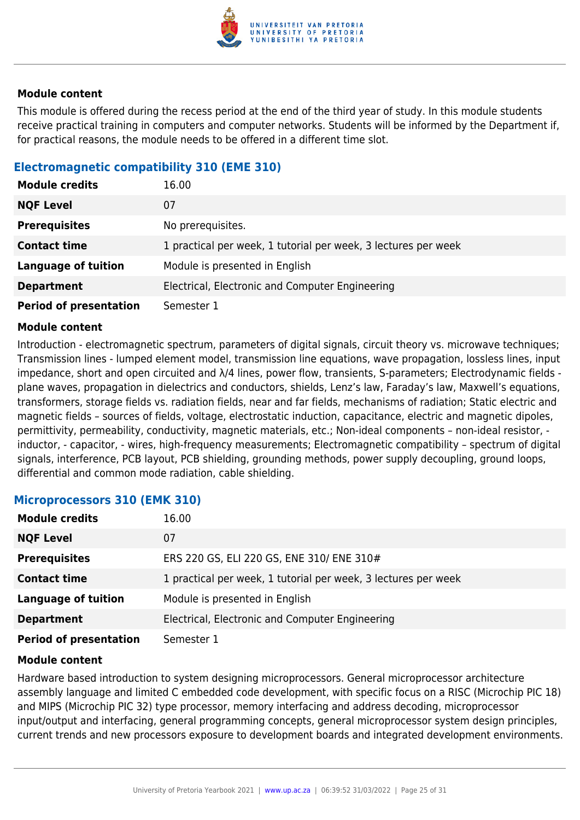

This module is offered during the recess period at the end of the third year of study. In this module students receive practical training in computers and computer networks. Students will be informed by the Department if, for practical reasons, the module needs to be offered in a different time slot.

### **Electromagnetic compatibility 310 (EME 310)**

| <b>Module credits</b>         | 16.00                                                          |
|-------------------------------|----------------------------------------------------------------|
| <b>NQF Level</b>              | 07                                                             |
| <b>Prerequisites</b>          | No prerequisites.                                              |
| <b>Contact time</b>           | 1 practical per week, 1 tutorial per week, 3 lectures per week |
| <b>Language of tuition</b>    | Module is presented in English                                 |
| <b>Department</b>             | Electrical, Electronic and Computer Engineering                |
| <b>Period of presentation</b> | Semester 1                                                     |

### **Module content**

Introduction - electromagnetic spectrum, parameters of digital signals, circuit theory vs. microwave techniques; Transmission lines - lumped element model, transmission line equations, wave propagation, lossless lines, input impedance, short and open circuited and λ/4 lines, power flow, transients, S-parameters; Electrodynamic fields plane waves, propagation in dielectrics and conductors, shields, Lenz's law, Faraday's law, Maxwell's equations, transformers, storage fields vs. radiation fields, near and far fields, mechanisms of radiation; Static electric and magnetic fields – sources of fields, voltage, electrostatic induction, capacitance, electric and magnetic dipoles, permittivity, permeability, conductivity, magnetic materials, etc.; Non-ideal components – non-ideal resistor, inductor, - capacitor, - wires, high-frequency measurements; Electromagnetic compatibility – spectrum of digital signals, interference, PCB layout, PCB shielding, grounding methods, power supply decoupling, ground loops, differential and common mode radiation, cable shielding.

### **Microprocessors 310 (EMK 310)**

| <b>Module credits</b>         | 16.00                                                          |
|-------------------------------|----------------------------------------------------------------|
| <b>NQF Level</b>              | 07                                                             |
| <b>Prerequisites</b>          | ERS 220 GS, ELI 220 GS, ENE 310/ ENE 310#                      |
| <b>Contact time</b>           | 1 practical per week, 1 tutorial per week, 3 lectures per week |
| <b>Language of tuition</b>    | Module is presented in English                                 |
| <b>Department</b>             | Electrical, Electronic and Computer Engineering                |
| <b>Period of presentation</b> | Semester 1                                                     |

### **Module content**

Hardware based introduction to system designing microprocessors. General microprocessor architecture assembly language and limited C embedded code development, with specific focus on a RISC (Microchip PIC 18) and MIPS (Microchip PIC 32) type processor, memory interfacing and address decoding, microprocessor input/output and interfacing, general programming concepts, general microprocessor system design principles, current trends and new processors exposure to development boards and integrated development environments.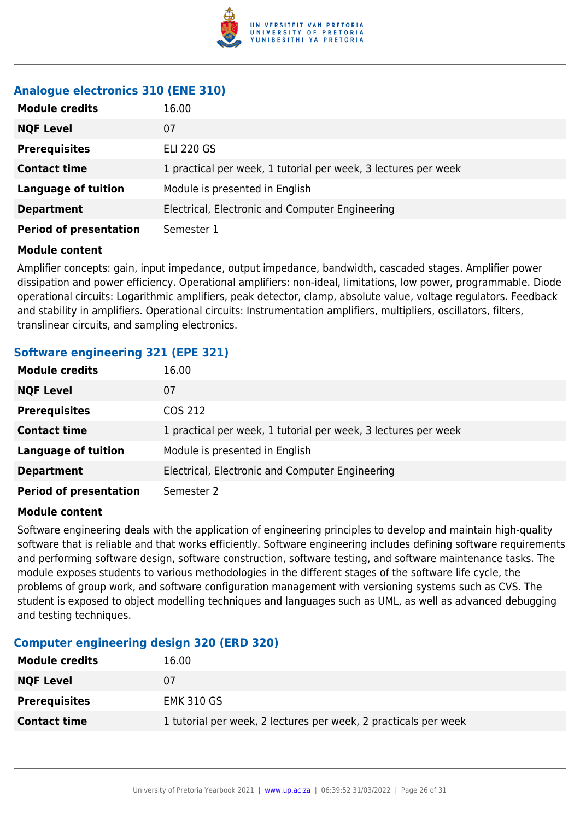

### **Analogue electronics 310 (ENE 310)**

| <b>Module credits</b>         | 16.00                                                          |
|-------------------------------|----------------------------------------------------------------|
| <b>NQF Level</b>              | 07                                                             |
| <b>Prerequisites</b>          | <b>ELI 220 GS</b>                                              |
| <b>Contact time</b>           | 1 practical per week, 1 tutorial per week, 3 lectures per week |
| <b>Language of tuition</b>    | Module is presented in English                                 |
| <b>Department</b>             | Electrical, Electronic and Computer Engineering                |
| <b>Period of presentation</b> | Semester 1                                                     |

### **Module content**

Amplifier concepts: gain, input impedance, output impedance, bandwidth, cascaded stages. Amplifier power dissipation and power efficiency. Operational amplifiers: non-ideal, limitations, low power, programmable. Diode operational circuits: Logarithmic amplifiers, peak detector, clamp, absolute value, voltage regulators. Feedback and stability in amplifiers. Operational circuits: Instrumentation amplifiers, multipliers, oscillators, filters, translinear circuits, and sampling electronics.

### **Software engineering 321 (EPE 321)**

| <b>Module credits</b>         | 16.00                                                          |
|-------------------------------|----------------------------------------------------------------|
| <b>NQF Level</b>              | 07                                                             |
| <b>Prerequisites</b>          | COS 212                                                        |
| <b>Contact time</b>           | 1 practical per week, 1 tutorial per week, 3 lectures per week |
| <b>Language of tuition</b>    | Module is presented in English                                 |
| <b>Department</b>             | Electrical, Electronic and Computer Engineering                |
| <b>Period of presentation</b> | Semester 2                                                     |

### **Module content**

Software engineering deals with the application of engineering principles to develop and maintain high-quality software that is reliable and that works efficiently. Software engineering includes defining software requirements and performing software design, software construction, software testing, and software maintenance tasks. The module exposes students to various methodologies in the different stages of the software life cycle, the problems of group work, and software configuration management with versioning systems such as CVS. The student is exposed to object modelling techniques and languages such as UML, as well as advanced debugging and testing techniques.

### **Computer engineering design 320 (ERD 320)**

| <b>Module credits</b> | 16.00                                                           |
|-----------------------|-----------------------------------------------------------------|
| <b>NQF Level</b>      | 07                                                              |
| <b>Prerequisites</b>  | <b>EMK 310 GS</b>                                               |
| <b>Contact time</b>   | 1 tutorial per week, 2 lectures per week, 2 practicals per week |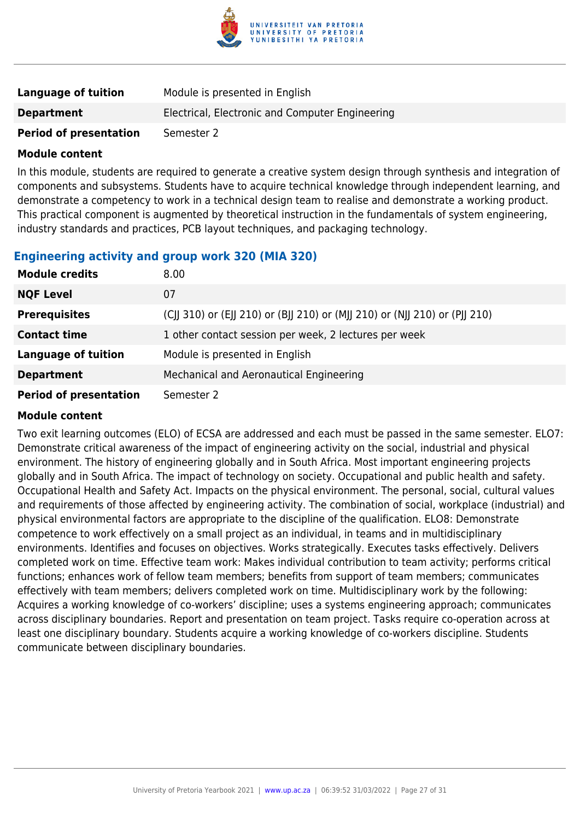

| Language of tuition           | Module is presented in English                  |
|-------------------------------|-------------------------------------------------|
| <b>Department</b>             | Electrical, Electronic and Computer Engineering |
| <b>Period of presentation</b> | Semester 2                                      |

In this module, students are required to generate a creative system design through synthesis and integration of components and subsystems. Students have to acquire technical knowledge through independent learning, and demonstrate a competency to work in a technical design team to realise and demonstrate a working product. This practical component is augmented by theoretical instruction in the fundamentals of system engineering, industry standards and practices, PCB layout techniques, and packaging technology.

### **Engineering activity and group work 320 (MIA 320)**

| <b>Module credits</b>         | 8.00                                                                       |
|-------------------------------|----------------------------------------------------------------------------|
| <b>NQF Level</b>              | 07                                                                         |
| <b>Prerequisites</b>          | (CJJ 310) or (EJJ 210) or (BJJ 210) or (MJJ 210) or (NJJ 210) or (PJJ 210) |
| <b>Contact time</b>           | 1 other contact session per week, 2 lectures per week                      |
| <b>Language of tuition</b>    | Module is presented in English                                             |
| <b>Department</b>             | Mechanical and Aeronautical Engineering                                    |
| <b>Period of presentation</b> | Semester 2                                                                 |

### **Module content**

Two exit learning outcomes (ELO) of ECSA are addressed and each must be passed in the same semester. ELO7: Demonstrate critical awareness of the impact of engineering activity on the social, industrial and physical environment. The history of engineering globally and in South Africa. Most important engineering projects globally and in South Africa. The impact of technology on society. Occupational and public health and safety. Occupational Health and Safety Act. Impacts on the physical environment. The personal, social, cultural values and requirements of those affected by engineering activity. The combination of social, workplace (industrial) and physical environmental factors are appropriate to the discipline of the qualification. ELO8: Demonstrate competence to work effectively on a small project as an individual, in teams and in multidisciplinary environments. Identifies and focuses on objectives. Works strategically. Executes tasks effectively. Delivers completed work on time. Effective team work: Makes individual contribution to team activity; performs critical functions; enhances work of fellow team members; benefits from support of team members; communicates effectively with team members; delivers completed work on time. Multidisciplinary work by the following: Acquires a working knowledge of co-workers' discipline; uses a systems engineering approach; communicates across disciplinary boundaries. Report and presentation on team project. Tasks require co-operation across at least one disciplinary boundary. Students acquire a working knowledge of co-workers discipline. Students communicate between disciplinary boundaries.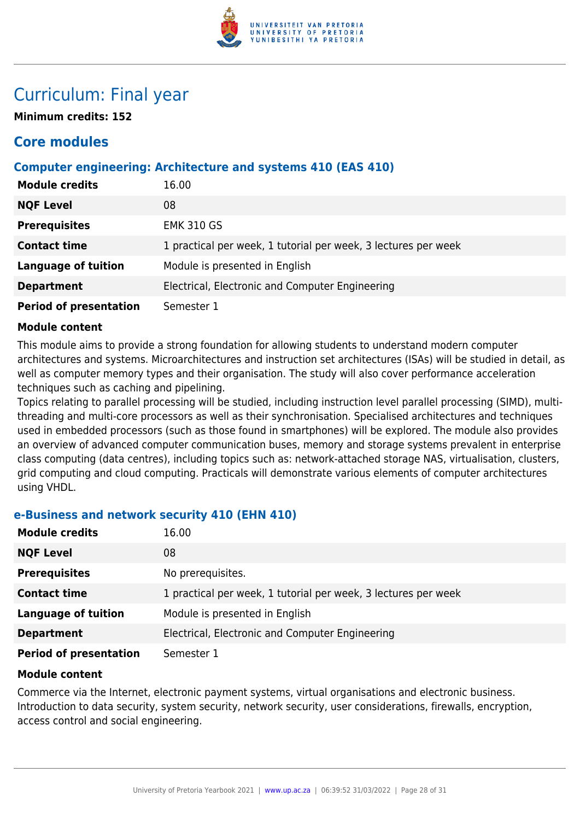

## Curriculum: Final year

**Minimum credits: 152**

### **Core modules**

### **Computer engineering: Architecture and systems 410 (EAS 410)**

| <b>Module credits</b>         | 16.00                                                          |
|-------------------------------|----------------------------------------------------------------|
| <b>NQF Level</b>              | 08                                                             |
| <b>Prerequisites</b>          | <b>EMK 310 GS</b>                                              |
| <b>Contact time</b>           | 1 practical per week, 1 tutorial per week, 3 lectures per week |
| <b>Language of tuition</b>    | Module is presented in English                                 |
| <b>Department</b>             | Electrical, Electronic and Computer Engineering                |
| <b>Period of presentation</b> | Semester 1                                                     |

### **Module content**

This module aims to provide a strong foundation for allowing students to understand modern computer architectures and systems. Microarchitectures and instruction set architectures (ISAs) will be studied in detail, as well as computer memory types and their organisation. The study will also cover performance acceleration techniques such as caching and pipelining.

Topics relating to parallel processing will be studied, including instruction level parallel processing (SIMD), multithreading and multi-core processors as well as their synchronisation. Specialised architectures and techniques used in embedded processors (such as those found in smartphones) will be explored. The module also provides an overview of advanced computer communication buses, memory and storage systems prevalent in enterprise class computing (data centres), including topics such as: network-attached storage NAS, virtualisation, clusters, grid computing and cloud computing. Practicals will demonstrate various elements of computer architectures using VHDL.

### **e-Business and network security 410 (EHN 410)**

| <b>Module credits</b>         | 16.00                                                          |
|-------------------------------|----------------------------------------------------------------|
| <b>NQF Level</b>              | 08                                                             |
| <b>Prerequisites</b>          | No prerequisites.                                              |
| <b>Contact time</b>           | 1 practical per week, 1 tutorial per week, 3 lectures per week |
| <b>Language of tuition</b>    | Module is presented in English                                 |
| <b>Department</b>             | Electrical, Electronic and Computer Engineering                |
| <b>Period of presentation</b> | Semester 1                                                     |

### **Module content**

Commerce via the Internet, electronic payment systems, virtual organisations and electronic business. Introduction to data security, system security, network security, user considerations, firewalls, encryption, access control and social engineering.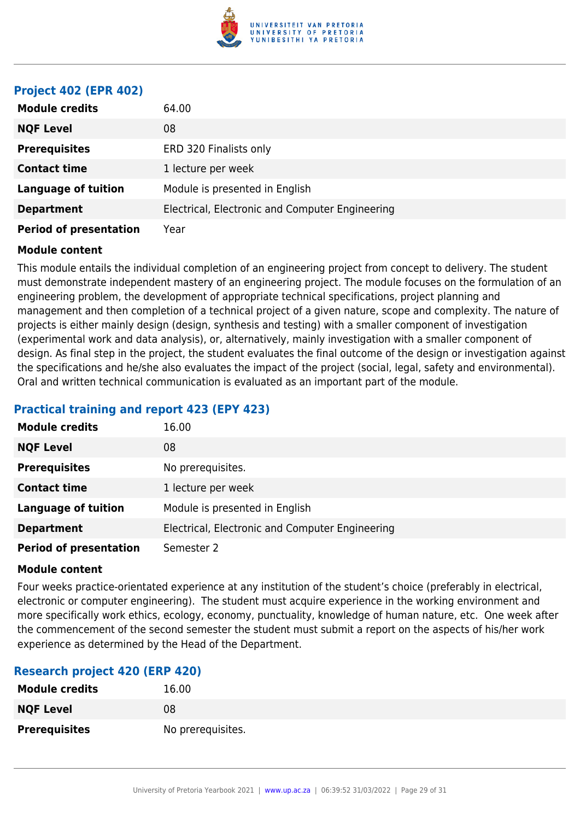

### **Project 402 (EPR 402)**

| <b>Module credits</b>         | 64.00                                           |
|-------------------------------|-------------------------------------------------|
| <b>NQF Level</b>              | 08                                              |
| <b>Prerequisites</b>          | ERD 320 Finalists only                          |
| <b>Contact time</b>           | 1 lecture per week                              |
| <b>Language of tuition</b>    | Module is presented in English                  |
| <b>Department</b>             | Electrical, Electronic and Computer Engineering |
| <b>Period of presentation</b> | Year                                            |

### **Module content**

This module entails the individual completion of an engineering project from concept to delivery. The student must demonstrate independent mastery of an engineering project. The module focuses on the formulation of an engineering problem, the development of appropriate technical specifications, project planning and management and then completion of a technical project of a given nature, scope and complexity. The nature of projects is either mainly design (design, synthesis and testing) with a smaller component of investigation (experimental work and data analysis), or, alternatively, mainly investigation with a smaller component of design. As final step in the project, the student evaluates the final outcome of the design or investigation against the specifications and he/she also evaluates the impact of the project (social, legal, safety and environmental). Oral and written technical communication is evaluated as an important part of the module.

### **Practical training and report 423 (EPY 423)**

| <b>Module credits</b>         | 16.00                                           |
|-------------------------------|-------------------------------------------------|
| <b>NQF Level</b>              | 08                                              |
| <b>Prerequisites</b>          | No prerequisites.                               |
| <b>Contact time</b>           | 1 lecture per week                              |
| <b>Language of tuition</b>    | Module is presented in English                  |
| <b>Department</b>             | Electrical, Electronic and Computer Engineering |
| <b>Period of presentation</b> | Semester 2                                      |

### **Module content**

Four weeks practice-orientated experience at any institution of the student's choice (preferably in electrical, electronic or computer engineering). The student must acquire experience in the working environment and more specifically work ethics, ecology, economy, punctuality, knowledge of human nature, etc. One week after the commencement of the second semester the student must submit a report on the aspects of his/her work experience as determined by the Head of the Department.

### **Research project 420 (ERP 420)**

| <b>Module credits</b> | 16.00             |
|-----------------------|-------------------|
| <b>NQF Level</b>      | 08                |
| <b>Prerequisites</b>  | No prerequisites. |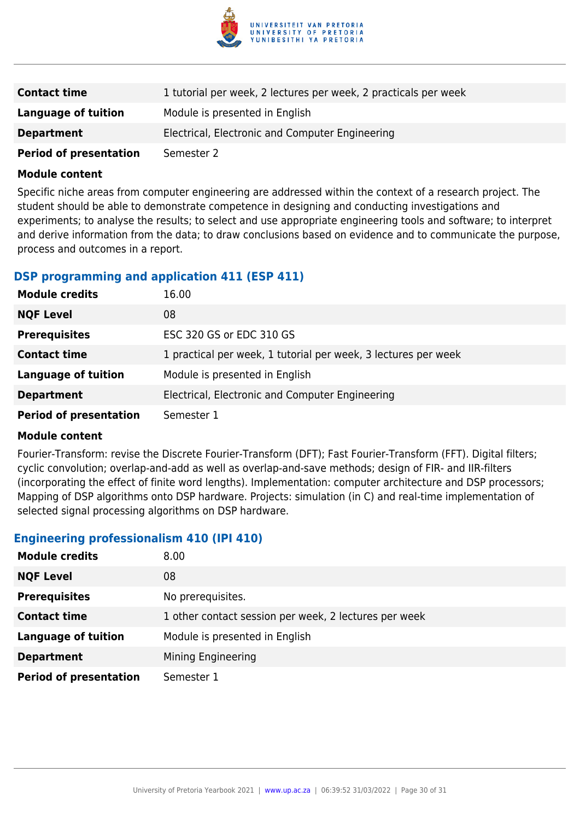

| <b>Contact time</b>           | 1 tutorial per week, 2 lectures per week, 2 practicals per week |
|-------------------------------|-----------------------------------------------------------------|
| Language of tuition           | Module is presented in English                                  |
| <b>Department</b>             | Electrical, Electronic and Computer Engineering                 |
| <b>Period of presentation</b> | Semester 2                                                      |

Specific niche areas from computer engineering are addressed within the context of a research project. The student should be able to demonstrate competence in designing and conducting investigations and experiments; to analyse the results; to select and use appropriate engineering tools and software; to interpret and derive information from the data; to draw conclusions based on evidence and to communicate the purpose, process and outcomes in a report.

### **DSP programming and application 411 (ESP 411)**

| <b>Module credits</b>         | 16.00                                                          |
|-------------------------------|----------------------------------------------------------------|
| <b>NQF Level</b>              | 08                                                             |
| <b>Prerequisites</b>          | ESC 320 GS or EDC 310 GS                                       |
| <b>Contact time</b>           | 1 practical per week, 1 tutorial per week, 3 lectures per week |
| <b>Language of tuition</b>    | Module is presented in English                                 |
| <b>Department</b>             | Electrical, Electronic and Computer Engineering                |
| <b>Period of presentation</b> | Semester 1                                                     |

### **Module content**

Fourier-Transform: revise the Discrete Fourier-Transform (DFT); Fast Fourier-Transform (FFT). Digital filters; cyclic convolution; overlap-and-add as well as overlap-and-save methods; design of FIR- and IIR-filters (incorporating the effect of finite word lengths). Implementation: computer architecture and DSP processors; Mapping of DSP algorithms onto DSP hardware. Projects: simulation (in C) and real-time implementation of selected signal processing algorithms on DSP hardware.

### **Engineering professionalism 410 (IPI 410)**

| <b>Module credits</b>         | 8.00                                                  |
|-------------------------------|-------------------------------------------------------|
| <b>NQF Level</b>              | 08                                                    |
| <b>Prerequisites</b>          | No prerequisites.                                     |
| <b>Contact time</b>           | 1 other contact session per week, 2 lectures per week |
| <b>Language of tuition</b>    | Module is presented in English                        |
| <b>Department</b>             | Mining Engineering                                    |
| <b>Period of presentation</b> | Semester 1                                            |